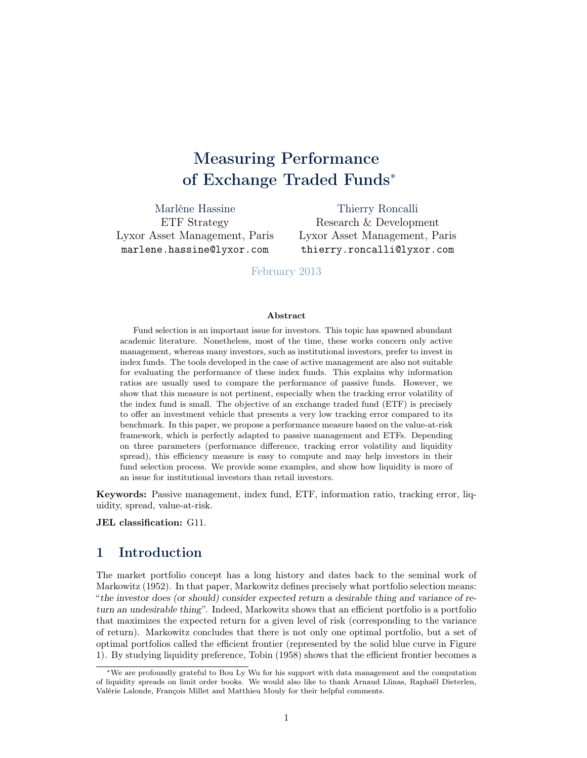# Measuring Performance of Exchange Traded Funds*<sup>∗</sup>*

Marlène Hassine ETF Strategy Lyxor Asset Management, Paris marlene.hassine@lyxor.com

Thierry Roncalli Research & Development Lyxor Asset Management, Paris thierry.roncalli@lyxor.com

February 2013

#### Abstract

Fund selection is an important issue for investors. This topic has spawned abundant academic literature. Nonetheless, most of the time, these works concern only active management, whereas many investors, such as institutional investors, prefer to invest in index funds. The tools developed in the case of active management are also not suitable for evaluating the performance of these index funds. This explains why information ratios are usually used to compare the performance of passive funds. However, we show that this measure is not pertinent, especially when the tracking error volatility of the index fund is small. The objective of an exchange traded fund (ETF) is precisely to offer an investment vehicle that presents a very low tracking error compared to its benchmark. In this paper, we propose a performance measure based on the value-at-risk framework, which is perfectly adapted to passive management and ETFs. Depending on three parameters (performance difference, tracking error volatility and liquidity spread), this efficiency measure is easy to compute and may help investors in their fund selection process. We provide some examples, and show how liquidity is more of an issue for institutional investors than retail investors.

Keywords: Passive management, index fund, ETF, information ratio, tracking error, liquidity, spread, value-at-risk.

JEL classification: G11.

# 1 Introduction

The market portfolio concept has a long history and dates back to the seminal work of Markowitz (1952). In that paper, Markowitz defines precisely what portfolio selection means: "*the investor does (or should) consider expected return a desirable thing and variance of return an undesirable thing*". Indeed, Markowitz shows that an efficient portfolio is a portfolio that maximizes the expected return for a given level of risk (corresponding to the variance of return). Markowitz concludes that there is not only one optimal portfolio, but a set of optimal portfolios called the efficient frontier (represented by the solid blue curve in Figure 1). By studying liquidity preference, Tobin (1958) shows that the efficient frontier becomes a

*<sup>∗</sup>*We are profoundly grateful to Bou Ly Wu for his support with data management and the computation of liquidity spreads on limit order books. We would also like to thank Arnaud Llinas, Raphaël Dieterlen, Valérie Lalonde, François Millet and Matthieu Mouly for their helpful comments.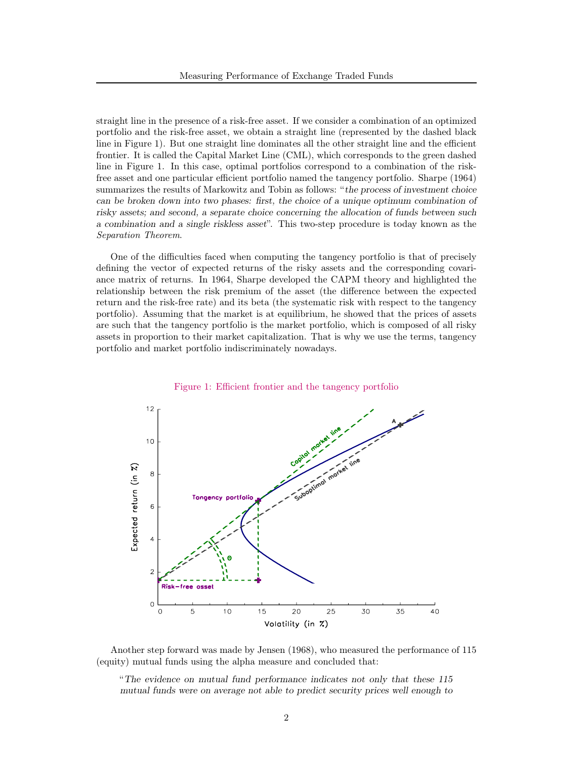straight line in the presence of a risk-free asset. If we consider a combination of an optimized portfolio and the risk-free asset, we obtain a straight line (represented by the dashed black line in Figure 1). But one straight line dominates all the other straight line and the efficient frontier. It is called the Capital Market Line (CML), which corresponds to the green dashed line in Figure 1. In this case, optimal portfolios correspond to a combination of the riskfree asset and one particular efficient portfolio named the tangency portfolio. Sharpe (1964) summarizes the results of Markowitz and Tobin as follows: "*the process of investment choice can be broken down into two phases: first, the choice of a unique optimum combination of risky assets; and second, a separate choice concerning the allocation of funds between such a combination and a single riskless asset*". This two-step procedure is today known as the *Separation Theorem*.

One of the difficulties faced when computing the tangency portfolio is that of precisely defining the vector of expected returns of the risky assets and the corresponding covariance matrix of returns. In 1964, Sharpe developed the CAPM theory and highlighted the relationship between the risk premium of the asset (the difference between the expected return and the risk-free rate) and its beta (the systematic risk with respect to the tangency portfolio). Assuming that the market is at equilibrium, he showed that the prices of assets are such that the tangency portfolio is the market portfolio, which is composed of all risky assets in proportion to their market capitalization. That is why we use the terms, tangency portfolio and market portfolio indiscriminately nowadays.





Another step forward was made by Jensen (1968), who measured the performance of 115 (equity) mutual funds using the alpha measure and concluded that:

"*The evidence on mutual fund performance indicates not only that these 115 mutual funds were on average not able to predict security prices well enough to*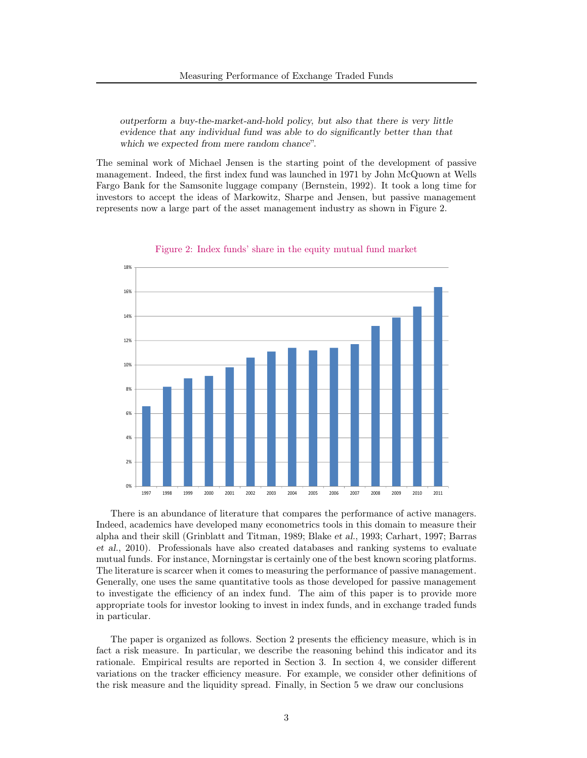*outperform a buy-the-market-and-hold policy, but also that there is very little evidence that any individual fund was able to do significantly better than that which we expected from mere random chance*".

The seminal work of Michael Jensen is the starting point of the development of passive management. Indeed, the first index fund was launched in 1971 by John McQuown at Wells Fargo Bank for the Samsonite luggage company (Bernstein, 1992). It took a long time for investors to accept the ideas of Markowitz, Sharpe and Jensen, but passive management represents now a large part of the asset management industry as shown in Figure 2.



Figure 2: Index funds' share in the equity mutual fund market

There is an abundance of literature that compares the performance of active managers. Indeed, academics have developed many econometrics tools in this domain to measure their alpha and their skill (Grinblatt and Titman, 1989; Blake *et al.*, 1993; Carhart, 1997; Barras *et al.*, 2010). Professionals have also created databases and ranking systems to evaluate mutual funds. For instance, Morningstar is certainly one of the best known scoring platforms. The literature is scarcer when it comes to measuring the performance of passive management. Generally, one uses the same quantitative tools as those developed for passive management to investigate the efficiency of an index fund. The aim of this paper is to provide more appropriate tools for investor looking to invest in index funds, and in exchange traded funds in particular.

The paper is organized as follows. Section 2 presents the efficiency measure, which is in fact a risk measure. In particular, we describe the reasoning behind this indicator and its rationale. Empirical results are reported in Section 3. In section 4, we consider different variations on the tracker efficiency measure. For example, we consider other definitions of the risk measure and the liquidity spread. Finally, in Section 5 we draw our conclusions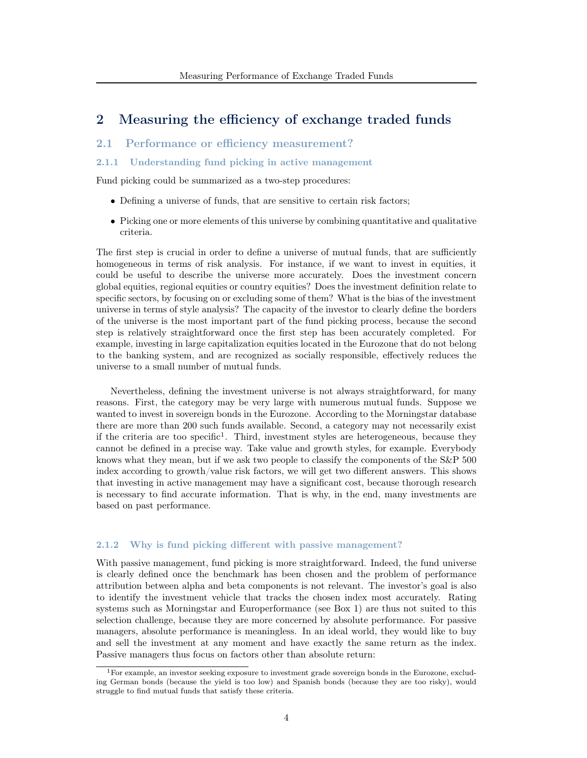# 2 Measuring the efficiency of exchange traded funds

## 2.1 Performance or efficiency measurement?

#### 2.1.1 Understanding fund picking in active management

Fund picking could be summarized as a two-step procedures:

- Defining a universe of funds, that are sensitive to certain risk factors;
- Picking one or more elements of this universe by combining quantitative and qualitative criteria.

The first step is crucial in order to define a universe of mutual funds, that are sufficiently homogeneous in terms of risk analysis. For instance, if we want to invest in equities, it could be useful to describe the universe more accurately. Does the investment concern global equities, regional equities or country equities? Does the investment definition relate to specific sectors, by focusing on or excluding some of them? What is the bias of the investment universe in terms of style analysis? The capacity of the investor to clearly define the borders of the universe is the most important part of the fund picking process, because the second step is relatively straightforward once the first step has been accurately completed. For example, investing in large capitalization equities located in the Eurozone that do not belong to the banking system, and are recognized as socially responsible, effectively reduces the universe to a small number of mutual funds.

Nevertheless, defining the investment universe is not always straightforward, for many reasons. First, the category may be very large with numerous mutual funds. Suppose we wanted to invest in sovereign bonds in the Eurozone. According to the Morningstar database there are more than 200 such funds available. Second, a category may not necessarily exist if the criteria are too specific<sup>1</sup>. Third, investment styles are heterogeneous, because they cannot be defined in a precise way. Take value and growth styles, for example. Everybody knows what they mean, but if we ask two people to classify the components of the S&P 500 index according to growth/value risk factors, we will get two different answers. This shows that investing in active management may have a significant cost, because thorough research is necessary to find accurate information. That is why, in the end, many investments are based on past performance.

#### 2.1.2 Why is fund picking different with passive management?

With passive management, fund picking is more straightforward. Indeed, the fund universe is clearly defined once the benchmark has been chosen and the problem of performance attribution between alpha and beta components is not relevant. The investor's goal is also to identify the investment vehicle that tracks the chosen index most accurately. Rating systems such as Morningstar and Europerformance (see Box 1) are thus not suited to this selection challenge, because they are more concerned by absolute performance. For passive managers, absolute performance is meaningless. In an ideal world, they would like to buy and sell the investment at any moment and have exactly the same return as the index. Passive managers thus focus on factors other than absolute return:

<sup>1</sup>For example, an investor seeking exposure to investment grade sovereign bonds in the Eurozone, excluding German bonds (because the yield is too low) and Spanish bonds (because they are too risky), would struggle to find mutual funds that satisfy these criteria.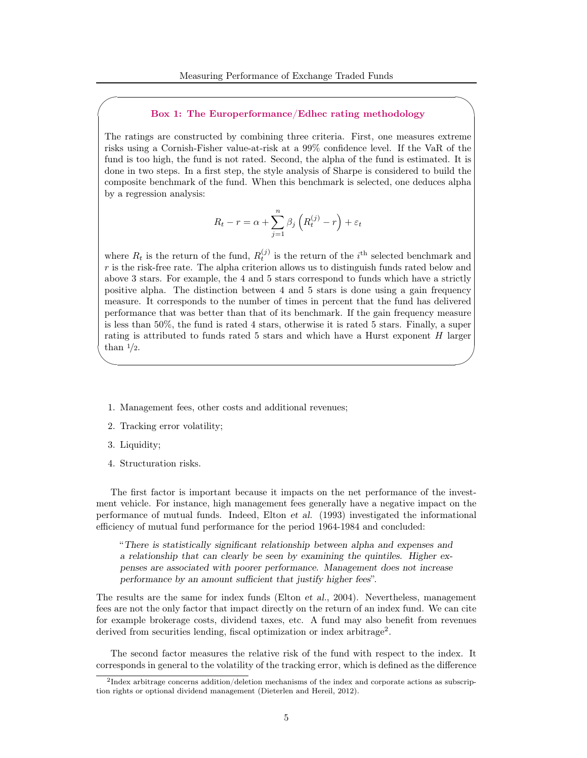#### Box 1: The Europerformance/Edhec rating methodology

The ratings are constructed by combining three criteria. First, one measures extreme risks using a Cornish-Fisher value-at-risk at a 99% confidence level. If the VaR of the fund is too high, the fund is not rated. Second, the alpha of the fund is estimated. It is done in two steps. In a first step, the style analysis of Sharpe is considered to build the composite benchmark of the fund. When this benchmark is selected, one deduces alpha by a regression analysis:

$$
R_t - r = \alpha + \sum_{j=1}^{n} \beta_j \left( R_t^{(j)} - r \right) + \varepsilon_t
$$

where  $R_t$  is the return of the fund,  $R_t^{(j)}$  is the return of the *i*<sup>th</sup> selected benchmark and *r* is the risk-free rate. The alpha criterion allows us to distinguish funds rated below and above 3 stars. For example, the 4 and 5 stars correspond to funds which have a strictly positive alpha. The distinction between 4 and 5 stars is done using a gain frequency measure. It corresponds to the number of times in percent that the fund has delivered performance that was better than that of its benchmark. If the gain frequency measure is less than 50%, the fund is rated 4 stars, otherwise it is rated 5 stars. Finally, a super rating is attributed to funds rated 5 stars and which have a Hurst exponent *H* larger than <sup>1</sup>*/*2.

- 1. Management fees, other costs and additional revenues;
- 2. Tracking error volatility;
- 3. Liquidity;

✫

 $\sqrt{2\pi}$ 

4. Structuration risks.

The first factor is important because it impacts on the net performance of the investment vehicle. For instance, high management fees generally have a negative impact on the performance of mutual funds. Indeed, Elton *et al.* (1993) investigated the informational efficiency of mutual fund performance for the period 1964-1984 and concluded:

"*There is statistically significant relationship between alpha and expenses and a relationship that can clearly be seen by examining the quintiles. Higher expenses are associated with poorer performance. Management does not increase performance by an amount sufficient that justify higher fees*".

The results are the same for index funds (Elton *et al.*, 2004). Nevertheless, management fees are not the only factor that impact directly on the return of an index fund. We can cite for example brokerage costs, dividend taxes, etc. A fund may also benefit from revenues derived from securities lending, fiscal optimization or index arbitrage<sup>2</sup>.

The second factor measures the relative risk of the fund with respect to the index. It corresponds in general to the volatility of the tracking error, which is defined as the difference

<sup>&</sup>lt;sup>2</sup>Index arbitrage concerns addition/deletion mechanisms of the index and corporate actions as subscription rights or optional dividend management (Dieterlen and Hereil, 2012).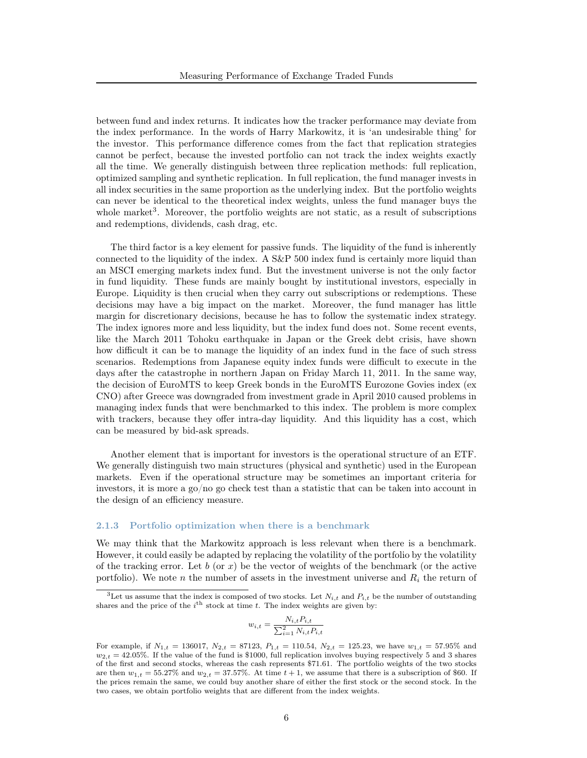between fund and index returns. It indicates how the tracker performance may deviate from the index performance. In the words of Harry Markowitz, it is 'an undesirable thing' for the investor. This performance difference comes from the fact that replication strategies cannot be perfect, because the invested portfolio can not track the index weights exactly all the time. We generally distinguish between three replication methods: full replication, optimized sampling and synthetic replication. In full replication, the fund manager invests in all index securities in the same proportion as the underlying index. But the portfolio weights can never be identical to the theoretical index weights, unless the fund manager buys the whole market<sup>3</sup>. Moreover, the portfolio weights are not static, as a result of subscriptions and redemptions, dividends, cash drag, etc.

The third factor is a key element for passive funds. The liquidity of the fund is inherently connected to the liquidity of the index. A S&P 500 index fund is certainly more liquid than an MSCI emerging markets index fund. But the investment universe is not the only factor in fund liquidity. These funds are mainly bought by institutional investors, especially in Europe. Liquidity is then crucial when they carry out subscriptions or redemptions. These decisions may have a big impact on the market. Moreover, the fund manager has little margin for discretionary decisions, because he has to follow the systematic index strategy. The index ignores more and less liquidity, but the index fund does not. Some recent events, like the March 2011 Tohoku earthquake in Japan or the Greek debt crisis, have shown how difficult it can be to manage the liquidity of an index fund in the face of such stress scenarios. Redemptions from Japanese equity index funds were difficult to execute in the days after the catastrophe in northern Japan on Friday March 11, 2011. In the same way, the decision of EuroMTS to keep Greek bonds in the EuroMTS Eurozone Govies index (ex CNO) after Greece was downgraded from investment grade in April 2010 caused problems in managing index funds that were benchmarked to this index. The problem is more complex with trackers, because they offer intra-day liquidity. And this liquidity has a cost, which can be measured by bid-ask spreads.

Another element that is important for investors is the operational structure of an ETF. We generally distinguish two main structures (physical and synthetic) used in the European markets. Even if the operational structure may be sometimes an important criteria for investors, it is more a go/no go check test than a statistic that can be taken into account in the design of an efficiency measure.

#### 2.1.3 Portfolio optimization when there is a benchmark

We may think that the Markowitz approach is less relevant when there is a benchmark. However, it could easily be adapted by replacing the volatility of the portfolio by the volatility of the tracking error. Let  $b$  (or  $x$ ) be the vector of weights of the benchmark (or the active portfolio). We note *n* the number of assets in the investment universe and  $R_i$  the return of

$$
w_{i,t} = \frac{N_{i,t}P_{i,t}}{\sum_{i=1}^{2} N_{i,t}P_{i,t}}
$$

<sup>&</sup>lt;sup>3</sup>Let us assume that the index is composed of two stocks. Let  $N_{i,t}$  and  $P_{i,t}$  be the number of outstanding shares and the price of the  $i<sup>th</sup>$  stock at time  $t$ . The index weights are given by:

For example, if  $N_{1,t} = 136017$ ,  $N_{2,t} = 87123$ ,  $P_{1,t} = 110.54$ ,  $N_{2,t} = 125.23$ , we have  $w_{1,t} = 57.95\%$  and  $w_{2,t} = 42.05\%$ . If the value of the fund is \$1000, full replication involves buying respectively 5 and 3 shares of the first and second stocks, whereas the cash represents \$71*.*61. The portfolio weights of the two stocks are then  $w_{1,t} = 55.27\%$  and  $w_{2,t} = 37.57\%$ . At time  $t + 1$ , we assume that there is a subscription of \$60. If the prices remain the same, we could buy another share of either the first stock or the second stock. In the two cases, we obtain portfolio weights that are different from the index weights.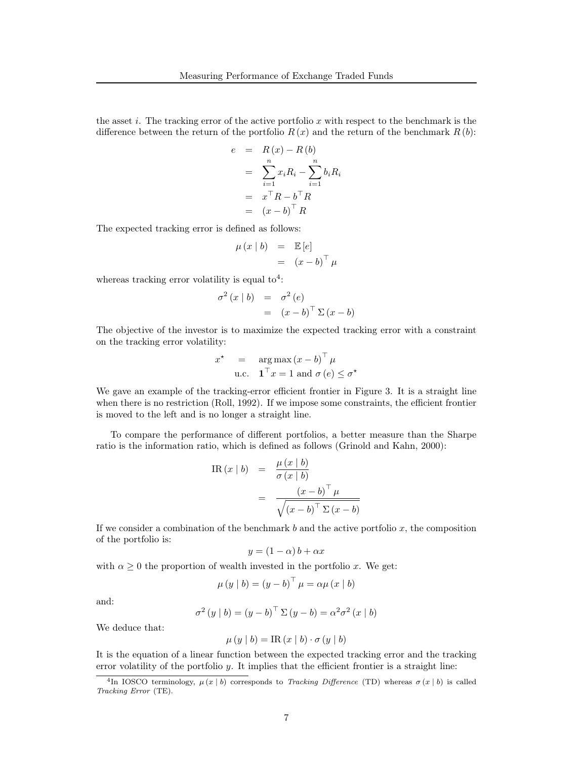the asset *i*. The tracking error of the active portfolio *x* with respect to the benchmark is the difference between the return of the portfolio  $R(x)$  and the return of the benchmark  $R(b)$ :

$$
e = R(x) - R(b)
$$
  
= 
$$
\sum_{i=1}^{n} x_i R_i - \sum_{i=1}^{n} b_i R_i
$$
  
= 
$$
x^{\top} R - b^{\top} R
$$
  
= 
$$
(x - b)^{\top} R
$$

The expected tracking error is defined as follows:

$$
\mu(x \mid b) = \mathbb{E}[e] \n= (x - b)^{\top} \mu
$$

whereas tracking error volatility is equal to<sup>4</sup>:

$$
\sigma^{2}(x \mid b) = \sigma^{2}(e)
$$
  
=  $(x - b)^{\top} \Sigma (x - b)$ 

The objective of the investor is to maximize the expected tracking error with a constraint on the tracking error volatility:

$$
x^* = \arg \max (x - b)^{\top} \mu
$$
  
u.c.  $\mathbf{1}^{\top} x = 1$  and  $\sigma(e) \le \sigma^*$ 

We gave an example of the tracking-error efficient frontier in Figure 3. It is a straight line when there is no restriction (Roll, 1992). If we impose some constraints, the efficient frontier is moved to the left and is no longer a straight line.

To compare the performance of different portfolios, a better measure than the Sharpe ratio is the information ratio, which is defined as follows (Grinold and Kahn, 2000):

$$
\text{IR}(x \mid b) = \frac{\mu (x \mid b)}{\sigma (x \mid b)}
$$

$$
= \frac{(x - b)^{\top} \mu}{\sqrt{(x - b)^{\top} \Sigma (x - b)}}
$$

If we consider a combination of the benchmark  $b$  and the active portfolio  $x$ , the composition of the portfolio is:

$$
y = (1 - \alpha) b + \alpha x
$$

with  $\alpha \geq 0$  the proportion of wealth invested in the portfolio *x*. We get:

$$
\mu(y \mid b) = (y - b)^{\top} \mu = \alpha \mu(x \mid b)
$$

and:

$$
\sigma^{2}(y \mid b) = (y - b)^{\top} \Sigma (y - b) = \alpha^{2} \sigma^{2} (x \mid b)
$$

We deduce that:

$$
\mu(y \mid b) = \text{IR}(x \mid b) \cdot \sigma(y \mid b)
$$

It is the equation of a linear function between the expected tracking error and the tracking error volatility of the portfolio *y*. It implies that the efficient frontier is a straight line:

<sup>&</sup>lt;sup>4</sup>In IOSCO terminology,  $\mu(x | b)$  corresponds to *Tracking Difference* (TD) whereas  $\sigma(x | b)$  is called *Tracking Error* (TE).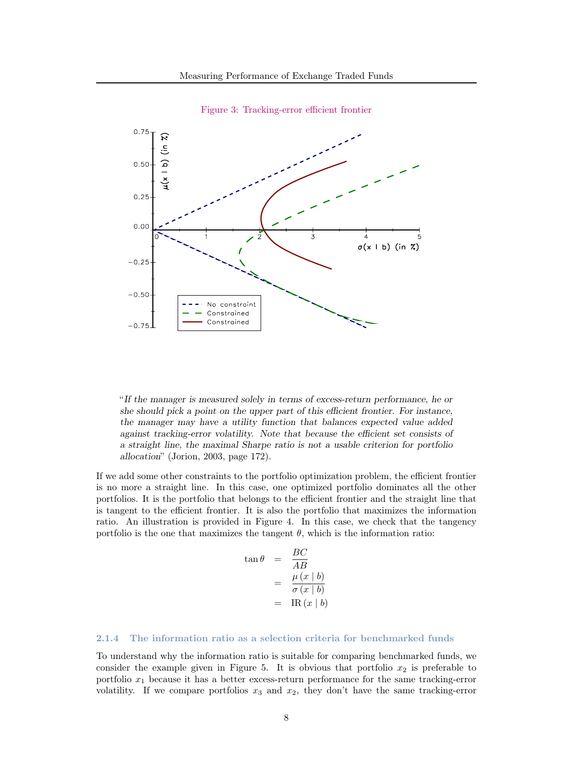

Figure 3: Tracking-error efficient frontier

"*If the manager is measured solely in terms of excess-return performance, he or she should pick a point on the upper part of this efficient frontier. For instance, the manager may have a utility function that balances expected value added against tracking-error volatility. Note that because the efficient set consists of a straight line, the maximal Sharpe ratio is not a usable criterion for portfolio allocation*" (Jorion, 2003, page 172).

If we add some other constraints to the portfolio optimization problem, the efficient frontier is no more a straight line. In this case, one optimized portfolio dominates all the other portfolios. It is the portfolio that belongs to the efficient frontier and the straight line that is tangent to the efficient frontier. It is also the portfolio that maximizes the information ratio. An illustration is provided in Figure 4. In this case, we check that the tangency portfolio is the one that maximizes the tangent  $\theta$ , which is the information ratio:

$$
\tan \theta = \frac{BC}{AB}
$$
  
= 
$$
\frac{\mu(x \mid b)}{\sigma(x \mid b)}
$$
  
= 
$$
\text{IR}(x \mid b)
$$

#### 2.1.4 The information ratio as a selection criteria for benchmarked funds

To understand why the information ratio is suitable for comparing benchmarked funds, we consider the example given in Figure 5. It is obvious that portfolio  $x_2$  is preferable to portfolio *x*<sup>1</sup> because it has a better excess-return performance for the same tracking-error volatility. If we compare portfolios  $x_3$  and  $x_2$ , they don't have the same tracking-error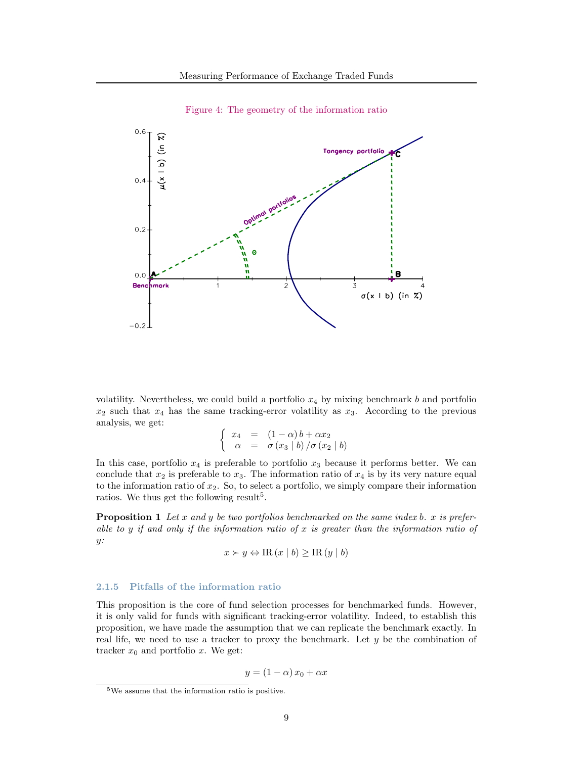

Figure 4: The geometry of the information ratio

volatility. Nevertheless, we could build a portfolio  $x_4$  by mixing benchmark  $b$  and portfolio  $x_2$  such that  $x_4$  has the same tracking-error volatility as  $x_3$ . According to the previous analysis, we get:

$$
\begin{cases}\nx_4 = (1-\alpha)b + \alpha x_2 \\
\alpha = \sigma(x_3 \mid b) / \sigma(x_2 \mid b)\n\end{cases}
$$

In this case, portfolio  $x_4$  is preferable to portfolio  $x_3$  because it performs better. We can conclude that  $x_2$  is preferable to  $x_3$ . The information ratio of  $x_4$  is by its very nature equal to the information ratio of *x*2. So, to select a portfolio, we simply compare their information ratios. We thus get the following result<sup>5</sup>.

Proposition 1 *Let x and y be two portfolios benchmarked on the same index b. x is preferable to y if and only if the information ratio of x is greater than the information ratio of y:*

$$
x \succ y \Leftrightarrow \text{IR}(x \mid b) \ge \text{IR}(y \mid b)
$$

### 2.1.5 Pitfalls of the information ratio

This proposition is the core of fund selection processes for benchmarked funds. However, it is only valid for funds with significant tracking-error volatility. Indeed, to establish this proposition, we have made the assumption that we can replicate the benchmark exactly. In real life, we need to use a tracker to proxy the benchmark. Let *y* be the combination of tracker  $x_0$  and portfolio  $x$ . We get:

$$
y = (1 - \alpha) x_0 + \alpha x
$$

<sup>5</sup>We assume that the information ratio is positive.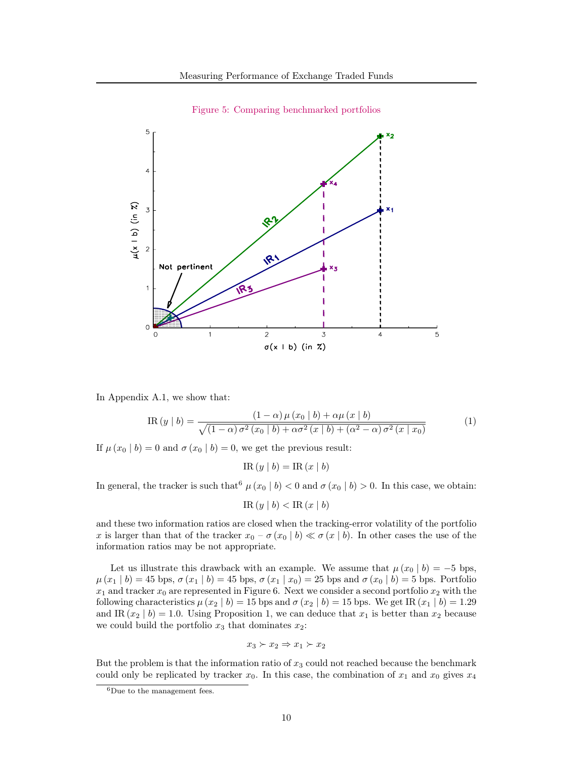

Figure 5: Comparing benchmarked portfolios

In Appendix A.1, we show that:

$$
IR(y | b) = \frac{(1 - \alpha) \mu (x_0 | b) + \alpha \mu (x | b)}{\sqrt{(1 - \alpha) \sigma^2 (x_0 | b) + \alpha \sigma^2 (x | b) + (\alpha^2 - \alpha) \sigma^2 (x | x_0)}}
$$
(1)

If  $\mu(x_0 | b) = 0$  and  $\sigma(x_0 | b) = 0$ , we get the previous result:

$$
IR(y | b) = IR(x | b)
$$

In general, the tracker is such that  $\mu(x_0 | b) < 0$  and  $\sigma(x_0 | b) > 0$ . In this case, we obtain:

 $IR(y | b) < IR(x | b)$ 

and these two information ratios are closed when the tracking-error volatility of the portfolio *x* is larger than that of the tracker  $x_0 - \sigma(x_0 | b) \ll \sigma(x | b)$ . In other cases the use of the information ratios may be not appropriate.

Let us illustrate this drawback with an example. We assume that  $\mu(x_0 | b) = -5$  bps,  $\mu(x_1 | b) = 45$  bps,  $\sigma(x_1 | b) = 45$  bps,  $\sigma(x_1 | x_0) = 25$  bps and  $\sigma(x_0 | b) = 5$  bps. Portfolio  $x_1$  and tracker  $x_0$  are represented in Figure 6. Next we consider a second portfolio  $x_2$  with the following characteristics  $\mu(x_2 | b) = 15$  bps and  $\sigma(x_2 | b) = 15$  bps. We get IR  $(x_1 | b) = 1.29$ and IR  $(x_2 | b) = 1.0$ . Using Proposition 1, we can deduce that  $x_1$  is better than  $x_2$  because we could build the portfolio  $x_3$  that dominates  $x_2$ :

$$
x_3 \succ x_2 \Rightarrow x_1 \succ x_2
$$

But the problem is that the information ratio of  $x_3$  could not reached because the benchmark could only be replicated by tracker  $x_0$ . In this case, the combination of  $x_1$  and  $x_0$  gives  $x_4$ 

 $6$ Due to the management fees.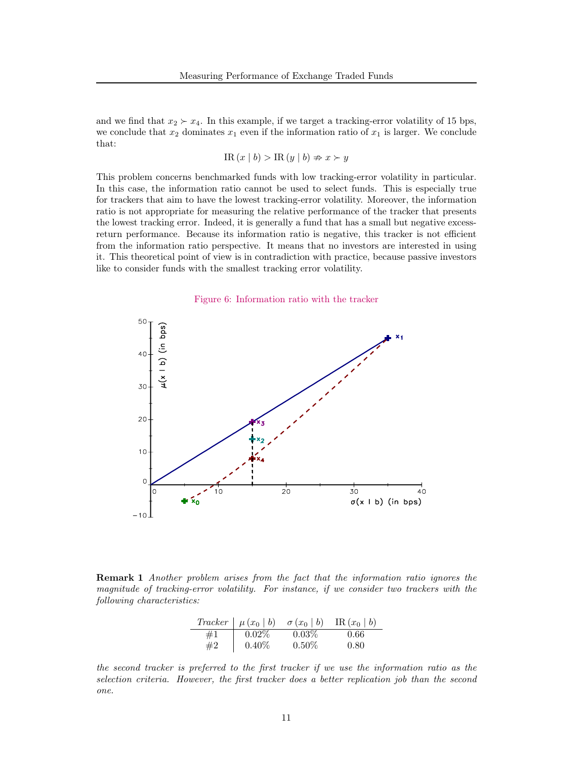and we find that  $x_2 \succ x_4$ . In this example, if we target a tracking-error volatility of 15 bps, we conclude that  $x_2$  dominates  $x_1$  even if the information ratio of  $x_1$  is larger. We conclude that:

$$
IR(x | b) > IR(y | b) \nRightarrow x \succ y
$$

This problem concerns benchmarked funds with low tracking-error volatility in particular. In this case, the information ratio cannot be used to select funds. This is especially true for trackers that aim to have the lowest tracking-error volatility. Moreover, the information ratio is not appropriate for measuring the relative performance of the tracker that presents the lowest tracking error. Indeed, it is generally a fund that has a small but negative excessreturn performance. Because its information ratio is negative, this tracker is not efficient from the information ratio perspective. It means that no investors are interested in using it. This theoretical point of view is in contradiction with practice, because passive investors like to consider funds with the smallest tracking error volatility.

Figure 6: Information ratio with the tracker



Remark 1 *Another problem arises from the fact that the information ratio ignores the magnitude of tracking-error volatility. For instance, if we consider two trackers with the following characteristics:*

| Tracker | $\mu(x_0   b)$ | $\sigma(x_0   b)$ | $IR(x_0   b)$ |
|---------|----------------|-------------------|---------------|
| #1      | $0.02\%$       | $0.03\%$          | 0.66          |
| $~\#2$  | $0.40\%$       | $0.50\%$          | 0.80          |

*the second tracker is preferred to the first tracker if we use the information ratio as the selection criteria. However, the first tracker does a better replication job than the second one.*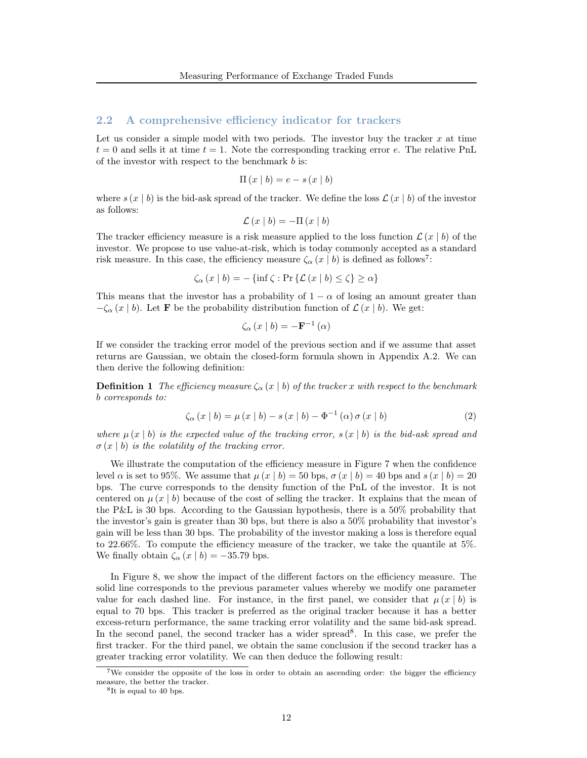## 2.2 A comprehensive efficiency indicator for trackers

Let us consider a simple model with two periods. The investor buy the tracker *x* at time  $t = 0$  and sells it at time  $t = 1$ . Note the corresponding tracking error *e*. The relative PnL of the investor with respect to the benchmark *b* is:

$$
\Pi(x \mid b) = e - s(x \mid b)
$$

where  $s(x | b)$  is the bid-ask spread of the tracker. We define the loss  $\mathcal{L}(x | b)$  of the investor as follows:

$$
\mathcal{L}(x \mid b) = -\Pi(x \mid b)
$$

The tracker efficiency measure is a risk measure applied to the loss function  $\mathcal{L}(x | b)$  of the investor. We propose to use value-at-risk, which is today commonly accepted as a standard risk measure. In this case, the efficiency measure  $\zeta_{\alpha}(x \mid b)$  is defined as follows<sup>7</sup>:

$$
\zeta_{\alpha}(x \mid b) = -\left\{ \inf \zeta : \Pr \left\{ \mathcal{L}(x \mid b) \le \zeta \right\} \ge \alpha \right\}
$$

This means that the investor has a probability of  $1 - \alpha$  of losing an amount greater than  $-\zeta_{\alpha}(x \mid b)$ . Let **F** be the probability distribution function of  $\mathcal{L}(x \mid b)$ . We get:

$$
\zeta_{\alpha}\left(x\mid b\right)=-\mathbf{F}^{-1}\left(\alpha\right)
$$

If we consider the tracking error model of the previous section and if we assume that asset returns are Gaussian, we obtain the closed-form formula shown in Appendix A.2. We can then derive the following definition:

**Definition 1** *The efficiency measure*  $\zeta_{\alpha}(x | b)$  *of the tracker x with respect to the benchmark b corresponds to:*

$$
\zeta_{\alpha}(x \mid b) = \mu(x \mid b) - s(x \mid b) - \Phi^{-1}(\alpha) \sigma(x \mid b)
$$
\n(2)

*where*  $\mu(x | b)$  *is the expected value of the tracking error,*  $s(x | b)$  *is the bid-ask spread and*  $\sigma(x | b)$  *is the volatility of the tracking error.* 

We illustrate the computation of the efficiency measure in Figure 7 when the confidence level *α* is set to 95%. We assume that  $\mu(x | b) = 50$  bps,  $\sigma(x | b) = 40$  bps and  $s(x | b) = 20$ bps. The curve corresponds to the density function of the PnL of the investor. It is not centered on  $\mu(x | b)$  because of the cost of selling the tracker. It explains that the mean of the P&L is 30 bps. According to the Gaussian hypothesis, there is a 50% probability that the investor's gain is greater than 30 bps, but there is also a 50% probability that investor's gain will be less than 30 bps. The probability of the investor making a loss is therefore equal to 22.66%. To compute the efficiency measure of the tracker, we take the quantile at 5%. We finally obtain  $\zeta_{\alpha}(x \mid b) = -35.79$  bps.

In Figure 8, we show the impact of the different factors on the efficiency measure. The solid line corresponds to the previous parameter values whereby we modify one parameter value for each dashed line. For instance, in the first panel, we consider that  $\mu(x | b)$  is equal to 70 bps. This tracker is preferred as the original tracker because it has a better excess-return performance, the same tracking error volatility and the same bid-ask spread. In the second panel, the second tracker has a wider spread<sup>8</sup>. In this case, we prefer the first tracker. For the third panel, we obtain the same conclusion if the second tracker has a greater tracking error volatility. We can then deduce the following result:

<sup>7</sup>We consider the opposite of the loss in order to obtain an ascending order: the bigger the efficiency measure, the better the tracker.

<sup>&</sup>lt;sup>8</sup>It is equal to 40 bps.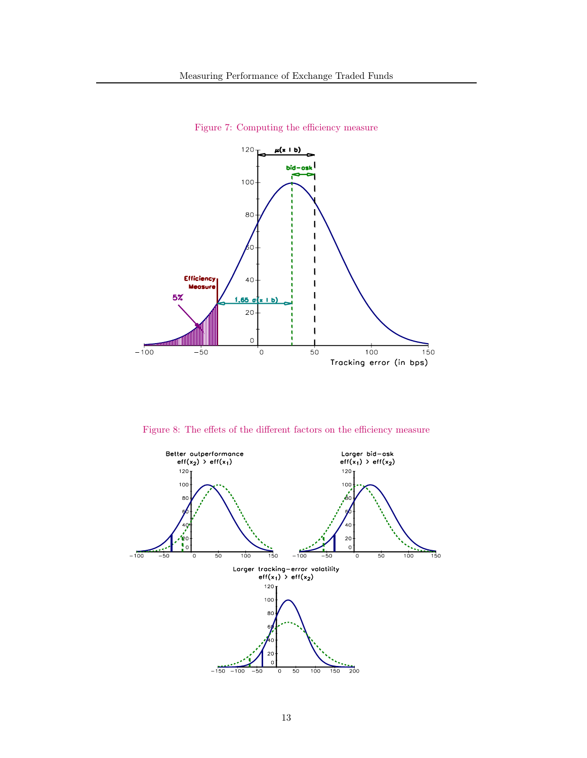

Figure 7: Computing the efficiency measure

Figure 8: The effets of the different factors on the efficiency measure

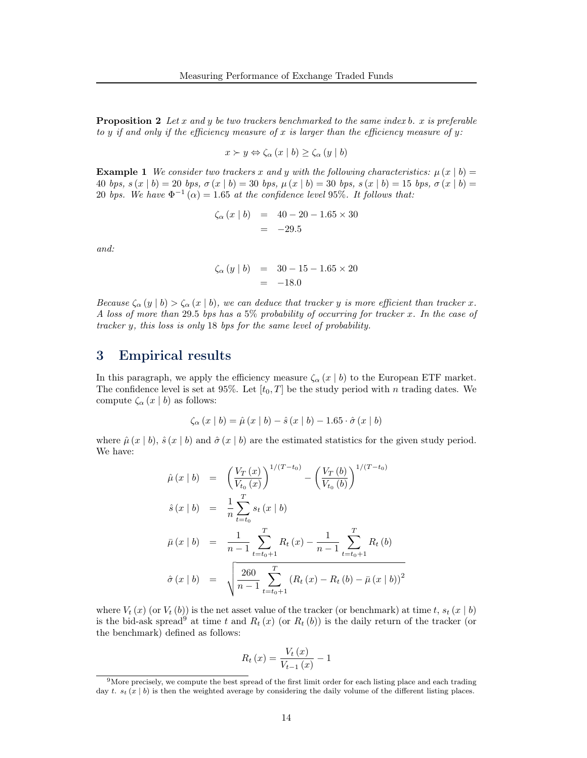Proposition 2 *Let x and y be two trackers benchmarked to the same index b. x is preferable to y if and only if the efficiency measure of x is larger than the efficiency measure of y:*

$$
x \succ y \Leftrightarrow \zeta_{\alpha}(x \mid b) \ge \zeta_{\alpha}(y \mid b)
$$

**Example 1** We consider two trackers x and y with the following characteristics:  $\mu(x | b) =$ 40 bps,  $s(x | b) = 20$  bps,  $\sigma(x | b) = 30$  bps,  $\mu(x | b) = 30$  bps,  $s(x | b) = 15$  bps,  $\sigma(x | b) =$ 20 *bps.* We have  $\Phi^{-1}(\alpha) = 1.65$  *at the confidence level* 95%. It follows that:

$$
\zeta_{\alpha} (x | b) = 40 - 20 - 1.65 \times 30
$$
  
= -29.5

*and:*

$$
\zeta_{\alpha} (y \mid b) = 30 - 15 - 1.65 \times 20
$$
  
= -18.0

*Because*  $\zeta_{\alpha}(y | b) > \zeta_{\alpha}(x | b)$ *, we can deduce that tracker y is more efficient than tracker x. A loss of more than* 29*.*5 *bps has a* 5% *probability of occurring for tracker x. In the case of tracker y, this loss is only* 18 *bps for the same level of probability.*

# 3 Empirical results

In this paragraph, we apply the efficiency measure  $\zeta_{\alpha}(x \mid b)$  to the European ETF market. The confidence level is set at 95%. Let  $[t_0, T]$  be the study period with *n* trading dates. We compute  $\zeta_{\alpha}(x \mid b)$  as follows:

$$
\zeta_{\alpha}(x \mid b) = \hat{\mu}(x \mid b) - \hat{s}(x \mid b) - 1.65 \cdot \hat{\sigma}(x \mid b)
$$

where  $\hat{\mu}(x | b)$ ,  $\hat{s}(x | b)$  and  $\hat{\sigma}(x | b)$  are the estimated statistics for the given study period. We have:

$$
\hat{\mu}(x \mid b) = \left(\frac{V_T(x)}{V_{t_0}(x)}\right)^{1/(T-t_0)} - \left(\frac{V_T(b)}{V_{t_0}(b)}\right)^{1/(T-t_0)}
$$
\n
$$
\hat{s}(x \mid b) = \frac{1}{n} \sum_{t=t_0}^{T} s_t(x \mid b)
$$
\n
$$
\bar{\mu}(x \mid b) = \frac{1}{n-1} \sum_{t=t_0+1}^{T} R_t(x) - \frac{1}{n-1} \sum_{t=t_0+1}^{T} R_t(b)
$$
\n
$$
\hat{\sigma}(x \mid b) = \sqrt{\frac{260}{n-1} \sum_{t=t_0+1}^{T} (R_t(x) - R_t(b) - \bar{\mu}(x \mid b))^2}
$$

where  $V_t(x)$  (or  $V_t(b)$ ) is the net asset value of the tracker (or benchmark) at time  $t$ ,  $s_t(x | b)$ is the bid-ask spread<sup>9</sup> at time *t* and  $R_t(x)$  (or  $R_t(b)$ ) is the daily return of the tracker (or the benchmark) defined as follows:

$$
R_t(x) = \frac{V_t(x)}{V_{t-1}(x)} - 1
$$

<sup>9</sup>More precisely, we compute the best spread of the first limit order for each listing place and each trading day *t*.  $s_t(x | b)$  is then the weighted average by considering the daily volume of the different listing places.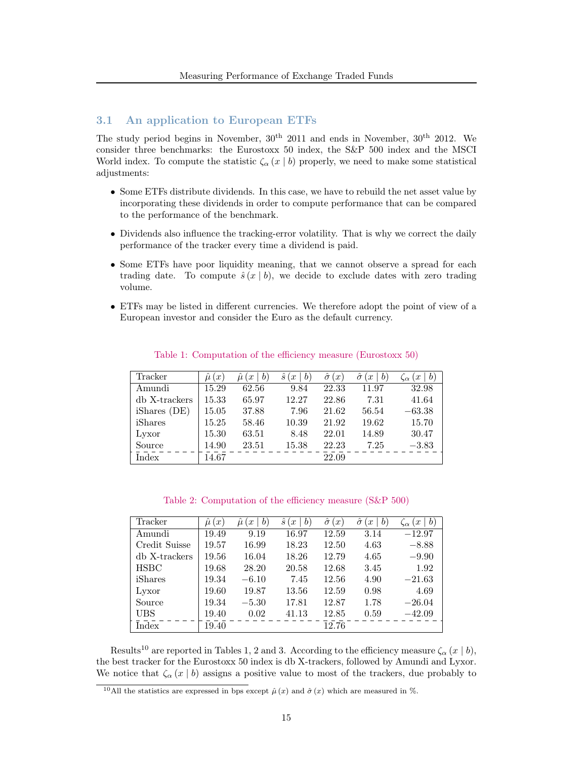## 3.1 An application to European ETFs

The study period begins in November,  $30<sup>th</sup> 2011$  and ends in November,  $30<sup>th</sup> 2012$ . We consider three benchmarks: the Eurostoxx 50 index, the S&P 500 index and the MSCI World index. To compute the statistic  $\zeta_\alpha(x \mid b)$  properly, we need to make some statistical adjustments:

- Some ETFs distribute dividends. In this case, we have to rebuild the net asset value by incorporating these dividends in order to compute performance that can be compared to the performance of the benchmark.
- Dividends also influence the tracking-error volatility. That is why we correct the daily performance of the tracker every time a dividend is paid.
- Some ETFs have poor liquidity meaning, that we cannot observe a spread for each trading date. To compute  $\hat{s}(x | b)$ , we decide to exclude dates with zero trading volume.
- *•* ETFs may be listed in different currencies. We therefore adopt the point of view of a European investor and consider the Euro as the default currency.

| Tracker       | $\hat{\mu}(x)$ | b<br>û<br>(x <sup>2</sup> ) | b<br>$\hat{s}$<br>$\boldsymbol{x}$ | $\hat{\sigma}$<br>$\lceil x \rceil$ | $\hat{\sigma}$<br>$\boldsymbol{x}$<br>b | $\langle b \rangle$<br>$\boldsymbol{x}$ |
|---------------|----------------|-----------------------------|------------------------------------|-------------------------------------|-----------------------------------------|-----------------------------------------|
| Amundi        | 15.29          | 62.56                       | 9.84                               | 22.33                               | 11.97                                   | 32.98                                   |
| db X-trackers | 15.33          | 65.97                       | 12.27                              | 22.86                               | 7.31                                    | 41.64                                   |
| iShares (DE)  | 15.05          | 37.88                       | 7.96                               | 21.62                               | 56.54                                   | $-63.38$                                |
| iShares       | 15.25          | 58.46                       | 10.39                              | 21.92                               | 19.62                                   | 15.70                                   |
| Lyxor         | 15.30          | 63.51                       | 8.48                               | 22.01                               | 14.89                                   | 30.47                                   |
| Source        | 14.90          | 23.51                       | 15.38                              | 22.23                               | 7.25                                    | $-3.83$                                 |
| Index         | 14.67          |                             |                                    | 22.09                               |                                         |                                         |

Table 1: Computation of the efficiency measure (Eurostoxx 50)

Table 2: Computation of the efficiency measure (S&P 500)

| Tracker       | û<br>$\boldsymbol{x}$ | b<br>$\boldsymbol{x}$ | $\hat{s}$<br>$\mathfrak{b}^{\prime}$<br>$\boldsymbol{x}$ | $\hat{\sigma}$<br>$\boldsymbol{x}$ | $\hat{\sigma}$<br>$\boldsymbol{b}$<br>$\boldsymbol{x}$ | b<br>$\boldsymbol{x}$<br>$\sim \alpha$ |
|---------------|-----------------------|-----------------------|----------------------------------------------------------|------------------------------------|--------------------------------------------------------|----------------------------------------|
| Amundi        | 19.49                 | 9.19                  | 16.97                                                    | 12.59                              | 3.14                                                   | $-12.97$                               |
| Credit Suisse | 19.57                 | 16.99                 | 18.23                                                    | 12.50                              | 4.63                                                   | $-8.88$                                |
| db X-trackers | 19.56                 | 16.04                 | 18.26                                                    | 12.79                              | 4.65                                                   | $-9.90$                                |
| <b>HSBC</b>   | 19.68                 | 28.20                 | 20.58                                                    | 12.68                              | 3.45                                                   | 1.92                                   |
| iShares       | 19.34                 | $-6.10$               | 7.45                                                     | 12.56                              | 4.90                                                   | $-21.63$                               |
| Lyxor         | 19.60                 | 19.87                 | 13.56                                                    | 12.59                              | 0.98                                                   | 4.69                                   |
| Source        | 19.34                 | $-5.30$               | 17.81                                                    | 12.87                              | 1.78                                                   | $-26.04$                               |
| UBS           | 19.40                 | 0.02                  | 41.13                                                    | 12.85                              | 0.59                                                   | $-42.09$                               |
| Index         | 19.40                 |                       |                                                          | 12.76                              |                                                        |                                        |

Results<sup>10</sup> are reported in Tables 1, 2 and 3. According to the efficiency measure  $\zeta_{\alpha}(x \mid b)$ , the best tracker for the Eurostoxx 50 index is db X-trackers, followed by Amundi and Lyxor. We notice that  $\zeta_\alpha(x \mid b)$  assigns a positive value to most of the trackers, due probably to

<sup>&</sup>lt;sup>10</sup>All the statistics are expressed in bps except  $\hat{\mu}(x)$  and  $\hat{\sigma}(x)$  which are measured in %.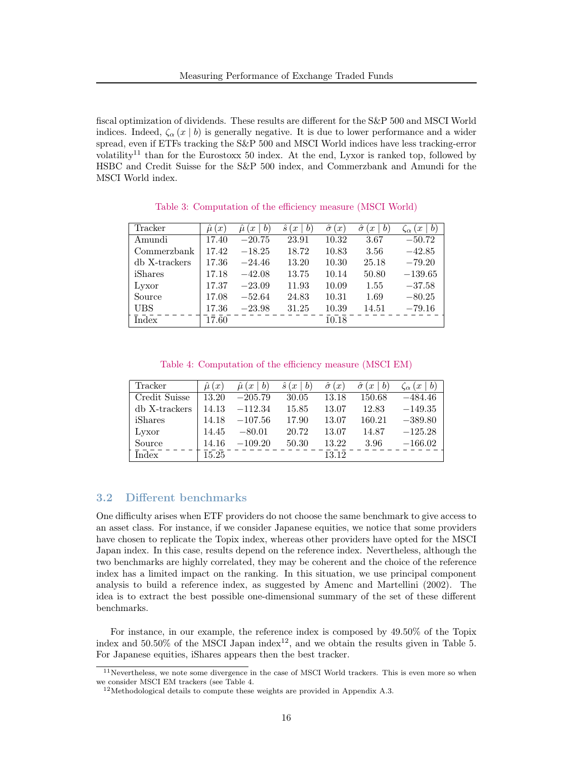fiscal optimization of dividends. These results are different for the S&P 500 and MSCI World indices. Indeed,  $\zeta_{\alpha}(x \mid b)$  is generally negative. It is due to lower performance and a wider spread, even if ETFs tracking the S&P 500 and MSCI World indices have less tracking-error volatility<sup>11</sup> than for the Eurostoxx 50 index. At the end, Lyxor is ranked top, followed by HSBC and Credit Suisse for the S&P 500 index, and Commerzbank and Amundi for the MSCI World index.

| Tracker       | $\hat{\mu}$<br>(x) | $\boldsymbol{b}$<br>$\boldsymbol{x}$ | $\hat{s}$<br>b<br>$\boldsymbol{x}$ | $\hat{\sigma}$<br>$\lfloor x \rfloor$ | $\boldsymbol{b}$<br>$\hat{\sigma}$<br>$\boldsymbol{x}$ | b<br>$(x^{\circ})$ |
|---------------|--------------------|--------------------------------------|------------------------------------|---------------------------------------|--------------------------------------------------------|--------------------|
| Amundi        | 17.40              | $-20.75$                             | 23.91                              | 10.32                                 | 3.67                                                   | $-50.72$           |
| Commerzbank   | 17.42              | $-18.25$                             | 18.72                              | 10.83                                 | 3.56                                                   | $-42.85$           |
| db X-trackers | 17.36              | $-24.46$                             | 13.20                              | 10.30                                 | 25.18                                                  | $-79.20$           |
| iShares       | 17.18              | $-42.08$                             | 13.75                              | 10.14                                 | 50.80                                                  | $-139.65$          |
| Lyxor         | 17.37              | $-23.09$                             | 11.93                              | 10.09                                 | 1.55                                                   | $-37.58$           |
| Source        | 17.08              | $-52.64$                             | 24.83                              | 10.31                                 | 1.69                                                   | $-80.25$           |
| <b>UBS</b>    | 17.36              | $-23.98$                             | 31.25                              | 10.39                                 | 14.51                                                  | $-79.16$           |
| Index         | 17.60              |                                      |                                    | 10.18                                 |                                                        |                    |

Table 3: Computation of the efficiency measure (MSCI World)

#### Table 4: Computation of the efficiency measure (MSCI EM)

| Tracker       | $\hat{\mu}(x)$ | $\boldsymbol{b}$<br>$\hat{\mu}$ (x) | $\boldsymbol{b}$<br>$\hat{s}$<br>$\overline{x}$ | $\hat{\sigma}$<br>(x) | $\hat{\sigma}$<br>$\boldsymbol{x}$ | $\boldsymbol{b}$<br>$\boldsymbol{x}$ |
|---------------|----------------|-------------------------------------|-------------------------------------------------|-----------------------|------------------------------------|--------------------------------------|
| Credit Suisse | 13.20          | $-205.79$                           | 30.05                                           | 13.18                 | 150.68                             | $-484.46$                            |
| db X-trackers | 14.13          | $-112.34$                           | 15.85                                           | 13.07                 | 12.83                              | $-149.35$                            |
| iShares       | 14.18          | $-107.56$                           | 17.90                                           | 13.07                 | 160.21                             | $-389.80$                            |
| Lyxor         | 14.45          | $-80.01$                            | 20.72                                           | 13.07                 | 14.87                              | $-125.28$                            |
| Source        | 14.16          | $-109.20$                           | 50.30                                           | 13.22                 | 3.96                               | $-166.02$                            |
| Index         | 15.25          |                                     |                                                 | 13.12                 |                                    |                                      |

#### 3.2 Different benchmarks

One difficulty arises when ETF providers do not choose the same benchmark to give access to an asset class. For instance, if we consider Japanese equities, we notice that some providers have chosen to replicate the Topix index, whereas other providers have opted for the MSCI Japan index. In this case, results depend on the reference index. Nevertheless, although the two benchmarks are highly correlated, they may be coherent and the choice of the reference index has a limited impact on the ranking. In this situation, we use principal component analysis to build a reference index, as suggested by Amenc and Martellini (2002). The idea is to extract the best possible one-dimensional summary of the set of these different benchmarks.

For instance, in our example, the reference index is composed by 49*.*50% of the Topix index and  $50.50\%$  of the MSCI Japan index<sup>12</sup>, and we obtain the results given in Table 5. For Japanese equities, iShares appears then the best tracker.

<sup>&</sup>lt;sup>11</sup>Nevertheless, we note some divergence in the case of MSCI World trackers. This is even more so when we consider MSCI EM trackers (see Table 4.

 $12$ Methodological details to compute these weights are provided in Appendix A.3.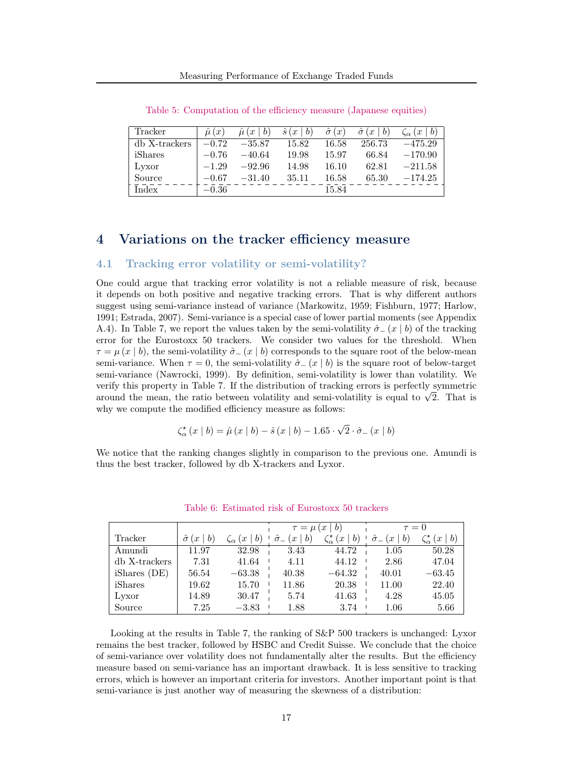| Tracker       | $\hat{\mu}$ $(x)$ | b<br>$\hat{\mu}(x)$ | b<br>$\hat{s}(x)$ | $\hat{\sigma}(x)$ | $\boldsymbol{b}$<br>$\hat{\sigma}(x)$ | (x        |
|---------------|-------------------|---------------------|-------------------|-------------------|---------------------------------------|-----------|
| db X-trackers | $-0.72$           | $-35.87$            | 15.82             | 16.58             | 256.73                                | $-475.29$ |
| iShares       | $-0.76$           | $-40.64$            | 19.98             | 15.97             | 66.84                                 | $-170.90$ |
| Lyxor         | $-1.29$           | $-92.96$            | 14.98             | 16.10             | 62.81                                 | $-211.58$ |
| Source        | $-0.67$           | $-31.40$            | 35.11             | 16.58             | 65.30                                 | $-174.25$ |
| Index         | $-0.36$           |                     |                   | 15.84             |                                       |           |

Table 5: Computation of the efficiency measure (Japanese equities)

## 4 Variations on the tracker efficiency measure

### 4.1 Tracking error volatility or semi-volatility?

One could argue that tracking error volatility is not a reliable measure of risk, because it depends on both positive and negative tracking errors. That is why different authors suggest using semi-variance instead of variance (Markowitz, 1959; Fishburn, 1977; Harlow, 1991; Estrada, 2007). Semi-variance is a special case of lower partial moments (see Appendix A.4). In Table 7, we report the values taken by the semi-volatility  $\hat{\sigma}_-(x \mid b)$  of the tracking error for the Eurostoxx 50 trackers. We consider two values for the threshold. When  $\tau = \mu(x | b)$ , the semi-volatility  $\hat{\sigma}_-(x | b)$  corresponds to the square root of the below-mean semi-variance. When  $\tau = 0$ , the semi-volatility  $\hat{\sigma}_-(x \mid b)$  is the square root of below-target semi-variance (Nawrocki, 1999). By definition, semi-volatility is lower than volatility. We verify this property in Table 7. If the distribution of tracking errors is perfectly symmetric around the mean, the ratio between volatility and semi-volatility is equal to  $\sqrt{2}$ . That is why we compute the modified efficiency measure as follows:

$$
\zeta_{\alpha}^{\star}\left(x\mid b\right) = \hat{\mu}\left(x\mid b\right) - \hat{s}\left(x\mid b\right) - 1.65\cdot\sqrt{2}\cdot\hat{\sigma}_{-}\left(x\mid b\right)
$$

We notice that the ranking changes slightly in comparison to the previous one. Amundi is thus the best tracker, followed by db X-trackers and Lyxor.

|               |                |          | $\tau = \mu \left( x \right)$ | b                | $\tau = 0$                                        |                                      |
|---------------|----------------|----------|-------------------------------|------------------|---------------------------------------------------|--------------------------------------|
| Tracker       | $\overline{x}$ |          | b)<br>$\boldsymbol{x}$        | $\boldsymbol{x}$ | $\boldsymbol{b}$<br>$\hat{\sigma}_-$<br>$\cdot x$ | $\boldsymbol{b}$<br>$\boldsymbol{x}$ |
| Amundi        | 11.97          | 32.98    | 3.43                          | 44.72            | $1.05\,$                                          | 50.28                                |
| db X-trackers | 7.31           | 41.64    | 4.11                          | 44.12            | 2.86                                              | 47.04                                |
| iShares (DE)  | 56.54          | $-63.38$ | 40.38                         | $-64.32$         | 40.01                                             | $-63.45$                             |
| iShares       | 19.62          | 15.70    | 11.86                         | 20.38            | 11.00                                             | 22.40                                |
| Lyxor         | 14.89          | 30.47    | 5.74                          | 41.63            | 4.28                                              | 45.05                                |
| Source        | 7.25           | $-3.83$  | 1.88                          | 3.74             | $1.06\,$                                          | 5.66                                 |

Table 6: Estimated risk of Eurostoxx 50 trackers

Looking at the results in Table 7, the ranking of S&P 500 trackers is unchanged: Lyxor remains the best tracker, followed by HSBC and Credit Suisse. We conclude that the choice of semi-variance over volatility does not fundamentally alter the results. But the efficiency measure based on semi-variance has an important drawback. It is less sensitive to tracking errors, which is however an important criteria for investors. Another important point is that semi-variance is just another way of measuring the skewness of a distribution: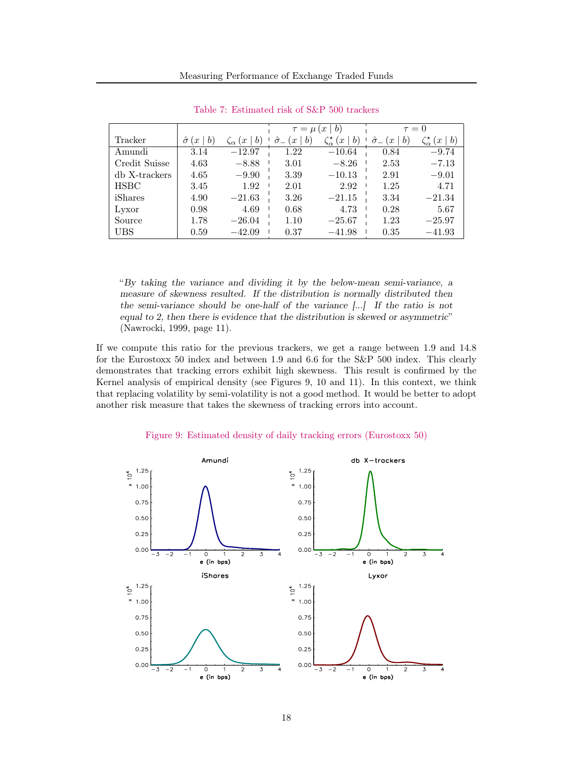|               |                                              |          | $\tau = \mu(x)$                            | $\lvert b \rvert$     | $\tau = 0$                         |                                         |
|---------------|----------------------------------------------|----------|--------------------------------------------|-----------------------|------------------------------------|-----------------------------------------|
| Tracker       | $\hat{\sigma}$<br>$\mathfrak b$<br>$\cdot x$ | b        | $\hat{\sigma}_-$<br>b)<br>$\boldsymbol{x}$ | b<br>$\boldsymbol{x}$ | $\hat{\sigma}$<br>$\boldsymbol{x}$ | $\lbrack b \rbrack$<br>$\boldsymbol{x}$ |
| Amundi        | 3.14                                         | $-12.97$ | 1.22                                       | $-10.64$              | 0.84                               | $-9.74$                                 |
| Credit Suisse | 4.63                                         | $-8.88$  | 3.01                                       | $-8.26$               | 2.53                               | $-7.13$                                 |
| db X-trackers | 4.65                                         | $-9.90$  | 3.39                                       | $-10.13$              | 2.91                               | $-9.01$                                 |
| <b>HSBC</b>   | 3.45                                         | 1.92     | 2.01                                       | 2.92                  | 1.25                               | 4.71                                    |
| iShares       | 4.90                                         | $-21.63$ | 3.26                                       | $-21.15$              | 3.34                               | $-21.34$                                |
| Lyxor         | 0.98                                         | 4.69     | 0.68                                       | 4.73                  | 0.28                               | 5.67                                    |
| Source        | 1.78                                         | $-26.04$ | 1.10                                       | $-25.67$              | 1.23                               | $-25.97$                                |
| <b>UBS</b>    | 0.59                                         | $-42.09$ | 0.37                                       | $-41.98$              | 0.35                               | $-41.93$                                |

Table 7: Estimated risk of S&P 500 trackers

"*By taking the variance and dividing it by the below-mean semi-variance, a measure of skewness resulted. If the distribution is normally distributed then the semi-variance should be one-half of the variance [...] If the ratio is not equal to 2, then there is evidence that the distribution is skewed or asymmetric*" (Nawrocki, 1999, page 11).

If we compute this ratio for the previous trackers, we get a range between 1*.*9 and 14*.*8 for the Eurostoxx 50 index and between 1*.*9 and 6*.*6 for the S&P 500 index. This clearly demonstrates that tracking errors exhibit high skewness. This result is confirmed by the Kernel analysis of empirical density (see Figures 9, 10 and 11). In this context, we think that replacing volatility by semi-volatility is not a good method. It would be better to adopt another risk measure that takes the skewness of tracking errors into account.



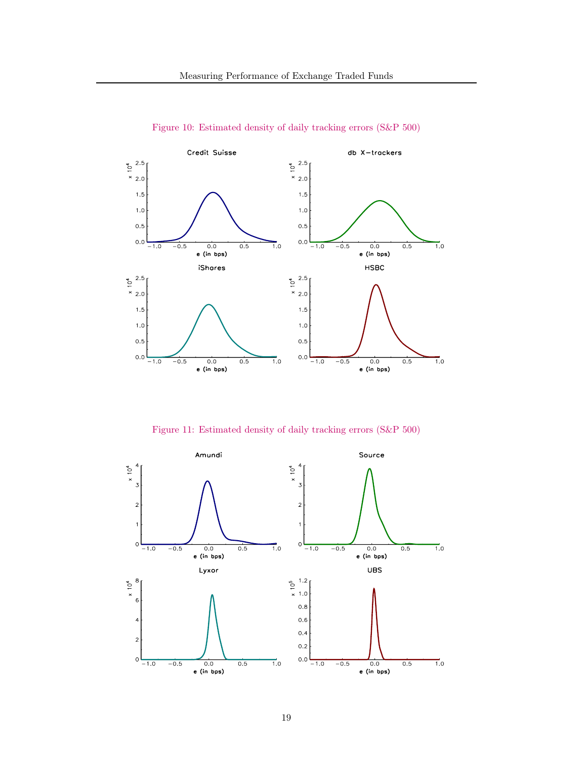

Figure 10: Estimated density of daily tracking errors (S&P 500)

Figure 11: Estimated density of daily tracking errors (S&P 500)

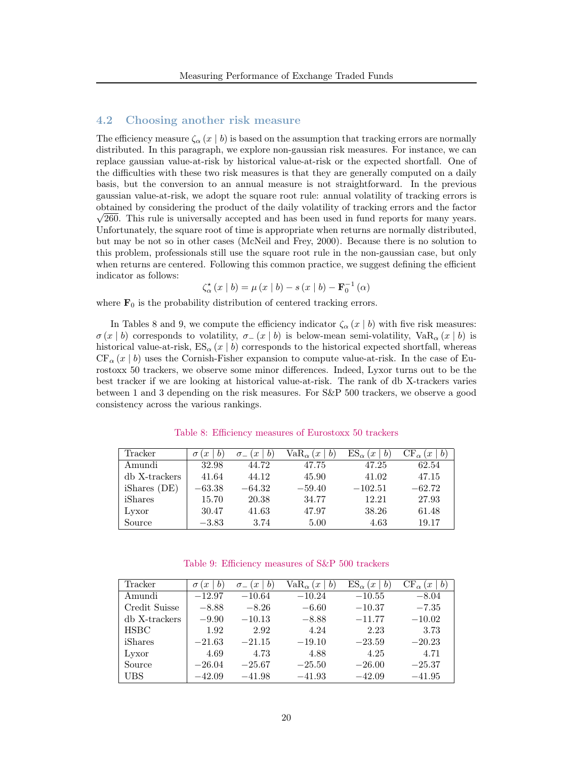#### 4.2 Choosing another risk measure

The efficiency measure  $\zeta_{\alpha}$  (*x* | *b*) is based on the assumption that tracking errors are normally distributed. In this paragraph, we explore non-gaussian risk measures. For instance, we can replace gaussian value-at-risk by historical value-at-risk or the expected shortfall. One of the difficulties with these two risk measures is that they are generally computed on a daily basis, but the conversion to an annual measure is not straightforward. In the previous gaussian value-at-risk, we adopt the square root rule: annual volatility of tracking errors is obtained by considering the product of the daily volatility of tracking errors and the factor *√*  $\sqrt{260}$ . This rule is universally accepted and has been used in fund reports for many years. Unfortunately, the square root of time is appropriate when returns are normally distributed, but may be not so in other cases (McNeil and Frey, 2000). Because there is no solution to this problem, professionals still use the square root rule in the non-gaussian case, but only when returns are centered. Following this common practice, we suggest defining the efficient indicator as follows:

$$
\zeta_{\alpha}^{\star}(x \mid b) = \mu(x \mid b) - s(x \mid b) - \mathbf{F}_{0}^{-1}(\alpha)
$$

where  $\mathbf{F}_0$  is the probability distribution of centered tracking errors.

In Tables 8 and 9, we compute the efficiency indicator  $\zeta_{\alpha}(x \mid b)$  with five risk measures: *σ* (*x* | *b*) corresponds to volatility, *σ*<sub>−</sub> (*x* | *b*) is below-mean semi-volatility, VaR<sub>α</sub> (*x* | *b*) is historical value-at-risk,  $ES_\alpha(x \mid b)$  corresponds to the historical expected shortfall, whereas  $CF_{\alpha}(x \mid b)$  uses the Cornish-Fisher expansion to compute value-at-risk. In the case of Eurostoxx 50 trackers, we observe some minor differences. Indeed, Lyxor turns out to be the best tracker if we are looking at historical value-at-risk. The rank of db X-trackers varies between 1 and 3 depending on the risk measures. For S&P 500 trackers, we observe a good consistency across the various rankings.

| Tracker       | $\boldsymbol{x}$<br>$\sigma$ | $\boldsymbol{x}$<br>$\bm{b}$<br>$\sigma_-$ | $VaR_{\alpha}(x)$<br>b | $ES_{\alpha}$<br>b<br>$\boldsymbol{x}$ | $\boldsymbol{x}$ |
|---------------|------------------------------|--------------------------------------------|------------------------|----------------------------------------|------------------|
| Amundi        | 32.98                        | 44.72                                      | 47.75                  | 47.25                                  | 62.54            |
| db X-trackers | 41.64                        | 44.12                                      | 45.90                  | 41.02                                  | 47.15            |
| iShares (DE)  | $-63.38$                     | $-64.32$                                   | $-59.40$               | $-102.51$                              | $-62.72$         |
| iShares       | 15.70                        | 20.38                                      | 34.77                  | 12.21                                  | 27.93            |
| Lyxor         | 30.47                        | 41.63                                      | 47.97                  | 38.26                                  | 61.48            |
| Source        | $-3.83$                      | 3.74                                       | 5.00                   | 4.63                                   | 19.17            |

Table 8: Efficiency measures of Eurostoxx 50 trackers

Table 9: Efficiency measures of S&P 500 trackers

| Tracker       | b<br>$\boldsymbol{x}$<br>$\sigma$ | $\mathfrak{c}$<br>$\mathfrak{b}$<br>$\sigma_-$ | $VaR_{\alpha} (x)$<br> b | $ES_{\alpha}(x)$<br>b | $CF_{\alpha}$<br>$\boldsymbol{b}$<br>$\mathcal{X}$ |
|---------------|-----------------------------------|------------------------------------------------|--------------------------|-----------------------|----------------------------------------------------|
| Amundi        | $-12.97$                          | $-10.64$                                       | $-10.24$                 | $-10.55$              | $-8.04$                                            |
| Credit Suisse | $-8.88$                           | $-8.26$                                        | $-6.60$                  | $-10.37$              | $-7.35$                                            |
| db X-trackers | $-9.90$                           | $-10.13$                                       | $-8.88$                  | $-11.77$              | $-10.02$                                           |
| <b>HSBC</b>   | 1.92                              | 2.92                                           | 4.24                     | 2.23                  | 3.73                                               |
| iShares       | $-21.63$                          | $-21.15$                                       | $-19.10$                 | $-23.59$              | $-20.23$                                           |
| Lyxor         | 4.69                              | 4.73                                           | 4.88                     | 4.25                  | 4.71                                               |
| Source        | $-26.04$                          | $-25.67$                                       | $-25.50$                 | $-26.00$              | $-25.37$                                           |
| <b>UBS</b>    | $-42.09$                          | $-41.98$                                       | $-41.93$                 | $-42.09$              | $-41.95$                                           |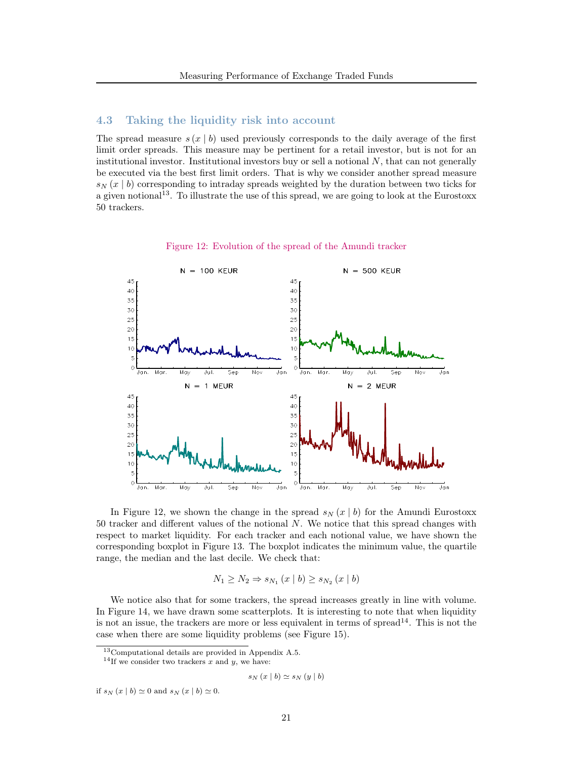### 4.3 Taking the liquidity risk into account

The spread measure  $s(x | b)$  used previously corresponds to the daily average of the first limit order spreads. This measure may be pertinent for a retail investor, but is not for an institutional investor. Institutional investors buy or sell a notional *N*, that can not generally be executed via the best first limit orders. That is why we consider another spread measure  $s_N(x | b)$  corresponding to intraday spreads weighted by the duration between two ticks for a given notional<sup>13</sup>. To illustrate the use of this spread, we are going to look at the Eurostoxx 50 trackers.



Figure 12: Evolution of the spread of the Amundi tracker

In Figure 12, we shown the change in the spread  $s_N(x | b)$  for the Amundi Eurostoxx 50 tracker and different values of the notional *N*. We notice that this spread changes with respect to market liquidity. For each tracker and each notional value, we have shown the corresponding boxplot in Figure 13. The boxplot indicates the minimum value, the quartile range, the median and the last decile. We check that:

$$
N_1 \geq N_2 \Rightarrow s_{N_1} (x \mid b) \geq s_{N_2} (x \mid b)
$$

We notice also that for some trackers, the spread increases greatly in line with volume. In Figure 14, we have drawn some scatterplots. It is interesting to note that when liquidity is not an issue, the trackers are more or less equivalent in terms of spread<sup>14</sup>. This is not the case when there are some liquidity problems (see Figure 15).

$$
s_N(x | b) \simeq s_N(y | b)
$$

if 
$$
s_N(x | b) \simeq 0
$$
 and  $s_N(x | b) \simeq 0$ .

 $13$ Computational details are provided in Appendix A.5.

<sup>&</sup>lt;sup>14</sup>If we consider two trackers  $x$  and  $y$ , we have: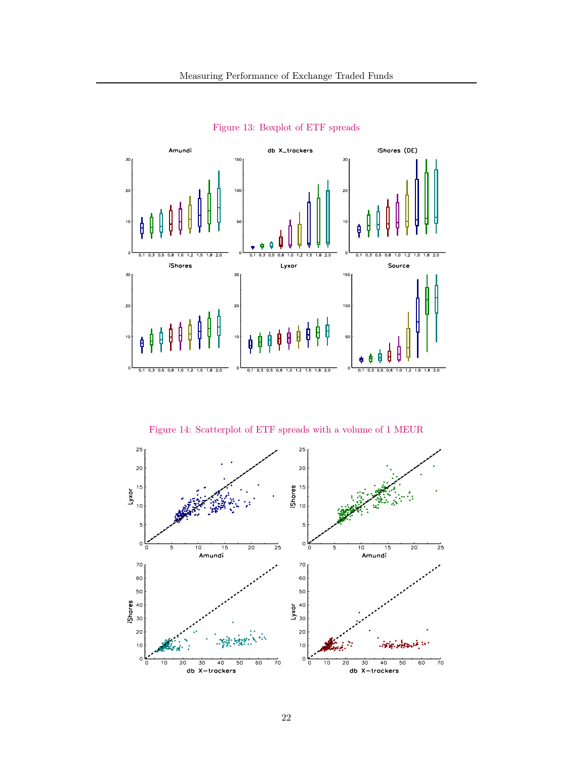

Figure 13: Boxplot of ETF spreads

Figure 14: Scatterplot of ETF spreads with a volume of 1 MEUR

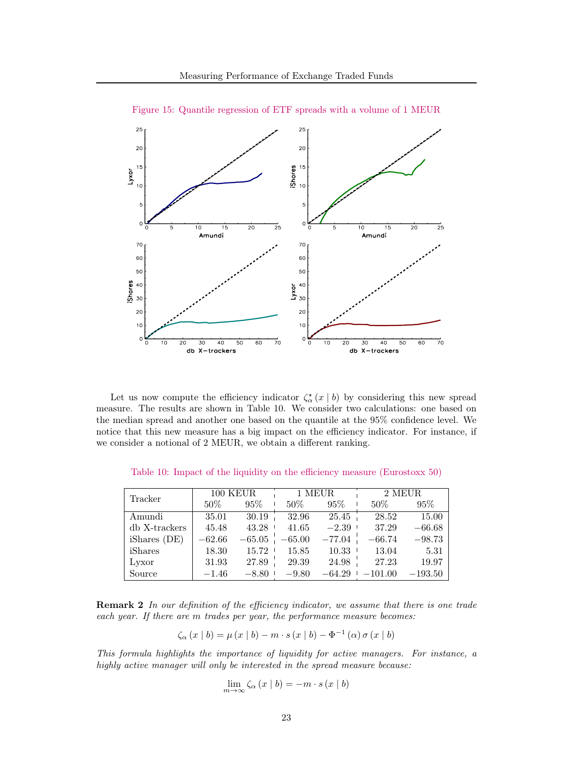

Figure 15: Quantile regression of ETF spreads with a volume of 1 MEUR

Let us now compute the efficiency indicator  $\zeta^*_{\alpha}(x \mid b)$  by considering this new spread measure. The results are shown in Table 10. We consider two calculations: one based on the median spread and another one based on the quantile at the 95% confidence level. We notice that this new measure has a big impact on the efficiency indicator. For instance, if we consider a notional of 2 MEUR, we obtain a different ranking.

| Tracker       | 100 KEUR |          | 1 MEUR   |          | 2 MEUR   |           |
|---------------|----------|----------|----------|----------|----------|-----------|
|               | 50%      | 95%      | $50\%$   | 95%      | $50\%$   | 95%       |
| Amundi        | 35.01    | 30.19    | 32.96    | 25.45    | 28.52    | 15.00     |
| db X-trackers | 45.48    | 43.28    | 41.65    | $-2.39$  | 37.29    | $-66.68$  |
| iShares (DE)  | $-62.66$ | $-65.05$ | $-65.00$ | $-77.04$ | $-66.74$ | $-98.73$  |
| iShares       | 18.30    | 15.72    | 15.85    | 10.33    | 13.04    | 5.31      |
| Lyxor         | 31.93    | 27.89    | 29.39    | 24.98    | 27.23    | 19.97     |
| Source        | $-1.46$  | $-8.80$  | $-9.80$  | $-64.29$ | 101.00   | $-193.50$ |

Table 10: Impact of the liquidity on the efficiency measure (Eurostoxx 50)

Remark 2 *In our definition of the efficiency indicator, we assume that there is one trade each year. If there are m trades per year, the performance measure becomes:*

$$
\zeta_{\alpha}(x \mid b) = \mu(x \mid b) - m \cdot s(x \mid b) - \Phi^{-1}(\alpha) \sigma(x \mid b)
$$

*This formula highlights the importance of liquidity for active managers. For instance, a highly active manager will only be interested in the spread measure because:*

$$
\lim_{m \to \infty} \zeta_{\alpha}(x \mid b) = -m \cdot s(x \mid b)
$$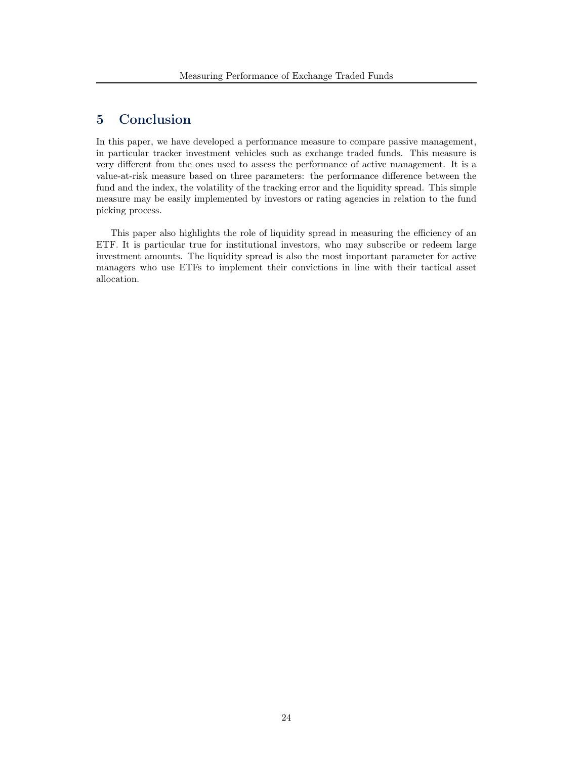# 5 Conclusion

In this paper, we have developed a performance measure to compare passive management, in particular tracker investment vehicles such as exchange traded funds. This measure is very different from the ones used to assess the performance of active management. It is a value-at-risk measure based on three parameters: the performance difference between the fund and the index, the volatility of the tracking error and the liquidity spread. This simple measure may be easily implemented by investors or rating agencies in relation to the fund picking process.

This paper also highlights the role of liquidity spread in measuring the efficiency of an ETF. It is particular true for institutional investors, who may subscribe or redeem large investment amounts. The liquidity spread is also the most important parameter for active managers who use ETFs to implement their convictions in line with their tactical asset allocation.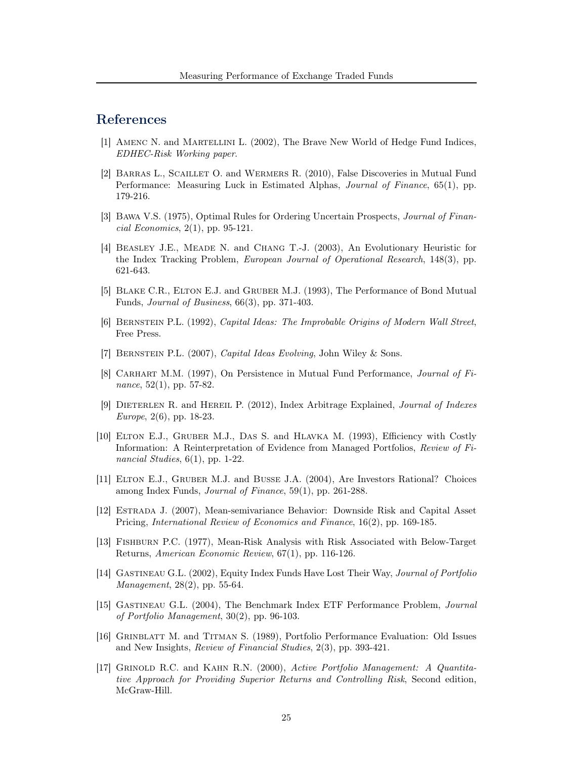# References

- [1] Amenc N. and Martellini L. (2002), The Brave New World of Hedge Fund Indices, *EDHEC-Risk Working paper*.
- [2] Barras L., Scaillet O. and Wermers R. (2010), False Discoveries in Mutual Fund Performance: Measuring Luck in Estimated Alphas, *Journal of Finance*, 65(1), pp. 179-216.
- [3] Bawa V.S. (1975), Optimal Rules for Ordering Uncertain Prospects, *Journal of Financial Economics*, 2(1), pp. 95-121.
- [4] Beasley J.E., Meade N. and Chang T.-J. (2003), An Evolutionary Heuristic for the Index Tracking Problem, *European Journal of Operational Research*, 148(3), pp. 621-643.
- [5] Blake C.R., Elton E.J. and Gruber M.J. (1993), The Performance of Bond Mutual Funds, *Journal of Business*, 66(3), pp. 371-403.
- [6] Bernstein P.L. (1992), *Capital Ideas: The Improbable Origins of Modern Wall Street*, Free Press.
- [7] Bernstein P.L. (2007), *Capital Ideas Evolving*, John Wiley & Sons.
- [8] Carhart M.M. (1997), On Persistence in Mutual Fund Performance, *Journal of Finance*, 52(1), pp. 57-82.
- [9] Dieterlen R. and Hereil P. (2012), Index Arbitrage Explained, *Journal of Indexes Europe*, 2(6), pp. 18-23.
- [10] Elton E.J., Gruber M.J., Das S. and Hlavka M. (1993), Efficiency with Costly Information: A Reinterpretation of Evidence from Managed Portfolios, *Review of Financial Studies*, 6(1), pp. 1-22.
- [11] Elton E.J., Gruber M.J. and Busse J.A. (2004), Are Investors Rational? Choices among Index Funds, *Journal of Finance*, 59(1), pp. 261-288.
- [12] Estrada J. (2007), Mean-semivariance Behavior: Downside Risk and Capital Asset Pricing, *International Review of Economics and Finance*, 16(2), pp. 169-185.
- [13] Fishburn P.C. (1977), Mean-Risk Analysis with Risk Associated with Below-Target Returns, *American Economic Review*, 67(1), pp. 116-126.
- [14] Gastineau G.L. (2002), Equity Index Funds Have Lost Their Way, *Journal of Portfolio Management*, 28(2), pp. 55-64.
- [15] Gastineau G.L. (2004), The Benchmark Index ETF Performance Problem, *Journal of Portfolio Management*, 30(2), pp. 96-103.
- [16] Grinblatt M. and Titman S. (1989), Portfolio Performance Evaluation: Old Issues and New Insights, *Review of Financial Studies*, 2(3), pp. 393-421.
- [17] Grinold R.C. and Kahn R.N. (2000), *Active Portfolio Management: A Quantitative Approach for Providing Superior Returns and Controlling Risk*, Second edition, McGraw-Hill.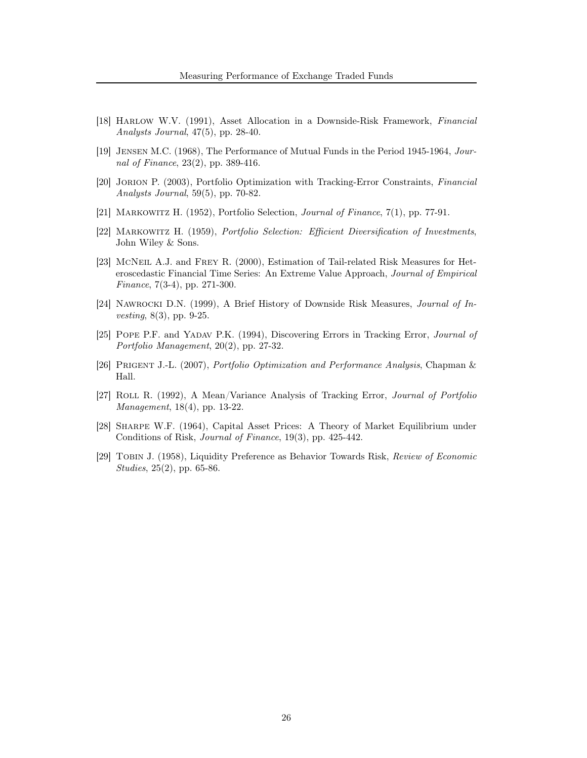- [18] Harlow W.V. (1991), Asset Allocation in a Downside-Risk Framework, *Financial Analysts Journal*, 47(5), pp. 28-40.
- [19] Jensen M.C. (1968), The Performance of Mutual Funds in the Period 1945-1964, *Journal of Finance*, 23(2), pp. 389-416.
- [20] Jorion P. (2003), Portfolio Optimization with Tracking-Error Constraints, *Financial Analysts Journal*, 59(5), pp. 70-82.
- [21] Markowitz H. (1952), Portfolio Selection, *Journal of Finance*, 7(1), pp. 77-91.
- [22] Markowitz H. (1959), *Portfolio Selection: Efficient Diversification of Investments*, John Wiley & Sons.
- [23] McNeil A.J. and Frey R. (2000), Estimation of Tail-related Risk Measures for Heteroscedastic Financial Time Series: An Extreme Value Approach, *Journal of Empirical Finance*, 7(3-4), pp. 271-300.
- [24] Nawrocki D.N. (1999), A Brief History of Downside Risk Measures, *Journal of Investing*, 8(3), pp. 9-25.
- [25] Pope P.F. and Yadav P.K. (1994), Discovering Errors in Tracking Error, *Journal of Portfolio Management*, 20(2), pp. 27-32.
- [26] Prigent J.-L. (2007), *Portfolio Optimization and Performance Analysis*, Chapman & Hall.
- [27] Roll R. (1992), A Mean/Variance Analysis of Tracking Error, *Journal of Portfolio Management*, 18(4), pp. 13-22.
- [28] Sharpe W.F. (1964), Capital Asset Prices: A Theory of Market Equilibrium under Conditions of Risk, *Journal of Finance*, 19(3), pp. 425-442.
- [29] Tobin J. (1958), Liquidity Preference as Behavior Towards Risk, *Review of Economic Studies*, 25(2), pp. 65-86.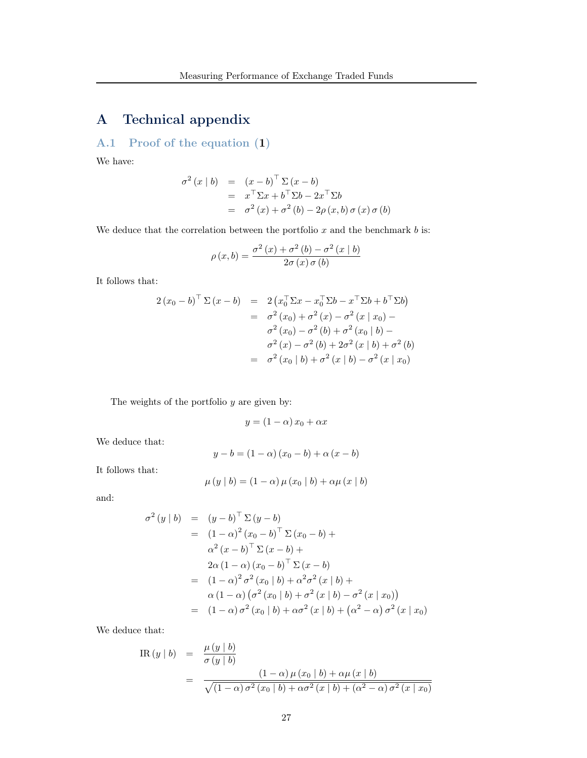# A Technical appendix

# A.1 Proof of the equation (1)

We have:

$$
\sigma^{2}(x \mid b) = (x - b)^{\top} \Sigma (x - b)
$$
  
=  $x^{\top} \Sigma x + b^{\top} \Sigma b - 2x^{\top} \Sigma b$   
=  $\sigma^{2}(x) + \sigma^{2}(b) - 2\rho(x, b) \sigma(x) \sigma(b)$ 

We deduce that the correlation between the portfolio  $x$  and the benchmark  $b$  is:

$$
\rho(x,b) = \frac{\sigma^2(x) + \sigma^2(b) - \sigma^2(x \mid b)}{2\sigma(x)\sigma(b)}
$$

It follows that:

$$
2(x_0 - b)^{\top} \Sigma (x - b) = 2(x_0^{\top} \Sigma x - x_0^{\top} \Sigma b - x^{\top} \Sigma b + b^{\top} \Sigma b)
$$
  
=  $\sigma^2 (x_0) + \sigma^2 (x) - \sigma^2 (x \mid x_0) -$   
 $\sigma^2 (x_0) - \sigma^2 (b) + \sigma^2 (x_0 \mid b) -$   
 $\sigma^2 (x) - \sigma^2 (b) + 2\sigma^2 (x \mid b) + \sigma^2 (b)$   
=  $\sigma^2 (x_0 \mid b) + \sigma^2 (x \mid b) - \sigma^2 (x \mid x_0)$ 

The weights of the portfolio *y* are given by:

$$
y = (1 - \alpha) x_0 + \alpha x
$$

We deduce that:

$$
y - b = (1 - \alpha) (x_0 - b) + \alpha (x - b)
$$

It follows that:

$$
\mu(y \mid b) = (1 - \alpha) \mu(x_0 \mid b) + \alpha \mu(x \mid b)
$$

and:

$$
\sigma^{2}(y | b) = (y - b)^{\top} \Sigma (y - b)
$$
  
=  $(1 - \alpha)^{2} (x_{0} - b)^{\top} \Sigma (x_{0} - b) +$   
 $\alpha^{2} (x - b)^{\top} \Sigma (x - b) +$   
 $2\alpha (1 - \alpha) (x_{0} - b)^{\top} \Sigma (x - b)$   
=  $(1 - \alpha)^{2} \sigma^{2} (x_{0} | b) + \alpha^{2} \sigma^{2} (x | b) +$   
 $\alpha (1 - \alpha) (\sigma^{2} (x_{0} | b) + \sigma^{2} (x | b) - \sigma^{2} (x | x_{0}))$   
=  $(1 - \alpha) \sigma^{2} (x_{0} | b) + \alpha \sigma^{2} (x | b) + (\alpha^{2} - \alpha) \sigma^{2} (x | x_{0})$ 

We deduce that:

$$
\text{IR}(y \mid b) = \frac{\mu(y \mid b)}{\sigma(y \mid b)}
$$
\n
$$
= \frac{(1 - \alpha)\mu(x_0 \mid b) + \alpha\mu(x \mid b)}{\sqrt{(1 - \alpha)\sigma^2(x_0 \mid b) + \alpha\sigma^2(x \mid b) + (\alpha^2 - \alpha)\sigma^2(x \mid x_0)}}
$$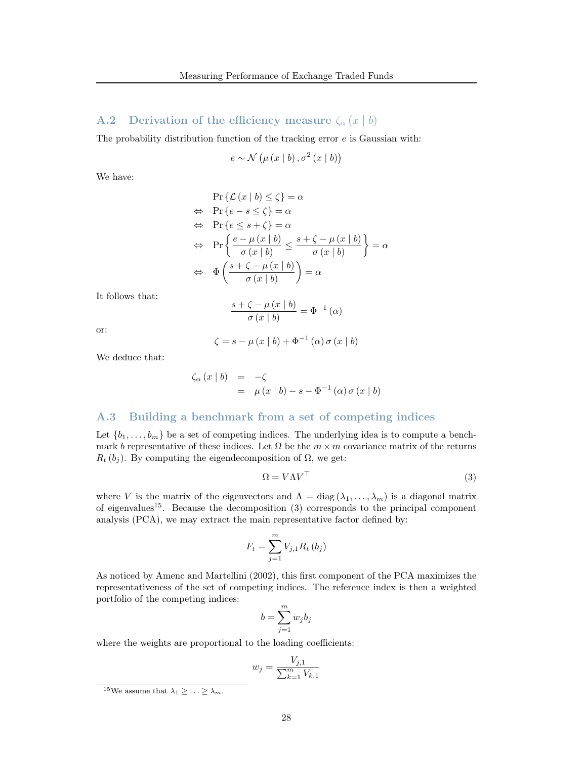## **A.2** Derivation of the efficiency measure  $\zeta_\alpha(x | b)$

The probability distribution function of the tracking error *e* is Gaussian with:

$$
e \sim \mathcal{N}\left(\mu\left(x\mid b\right), \sigma^2\left(x\mid b\right)\right)
$$

We have:

$$
\Pr\{\mathcal{L}(x \mid b) \le \zeta\} = \alpha
$$
\n
$$
\Leftrightarrow \Pr\{e - s \le \zeta\} = \alpha
$$
\n
$$
\Leftrightarrow \Pr\{e \le s + \zeta\} = \alpha
$$
\n
$$
\Leftrightarrow \Pr\left\{\frac{e - \mu(x \mid b)}{\sigma(x \mid b)} \le \frac{s + \zeta - \mu(x \mid b)}{\sigma(x \mid b)}\right\} = \alpha
$$
\n
$$
\Leftrightarrow \Phi\left(\frac{s + \zeta - \mu(x \mid b)}{\sigma(x \mid b)}\right) = \alpha
$$

It follows that:

$$
\frac{s+\zeta-\mu(x\mid b)}{\sigma(x\mid b)}=\Phi^{-1}(\alpha)
$$

or:

$$
\zeta = s - \mu(x \mid b) + \Phi^{-1}(\alpha) \sigma(x \mid b)
$$

We deduce that:

$$
\zeta_{\alpha}(x \mid b) = -\zeta
$$
  
=  $\mu(x \mid b) - s - \Phi^{-1}(\alpha) \sigma(x \mid b)$ 

## A.3 Building a benchmark from a set of competing indices

Let  $\{b_1, \ldots, b_m\}$  be a set of competing indices. The underlying idea is to compute a benchmark *b* representative of these indices. Let  $\Omega$  be the  $m \times m$  covariance matrix of the returns  $R_t(b_j)$ . By computing the eigendecomposition of  $\Omega$ , we get:

$$
\Omega = V \Lambda V^{\top} \tag{3}
$$

where *V* is the matrix of the eigenvectors and  $\Lambda = \text{diag}(\lambda_1, \ldots, \lambda_m)$  is a diagonal matrix of eigenvalues<sup>15</sup>. Because the decomposition  $(3)$  corresponds to the principal component analysis (PCA), we may extract the main representative factor defined by:

$$
F_t = \sum_{j=1}^{m} V_{j,1} R_t (b_j)
$$

As noticed by Amenc and Martellini (2002), this first component of the PCA maximizes the representativeness of the set of competing indices. The reference index is then a weighted portfolio of the competing indices:

$$
b=\sum_{j=1}^m w_jb_j
$$

where the weights are proportional to the loading coefficients:

$$
w_j = \frac{V_{j,1}}{\sum_{k=1}^{m} V_{k,1}}
$$

<sup>&</sup>lt;sup>15</sup>We assume that  $\lambda_1 \geq \ldots \geq \lambda_m$ .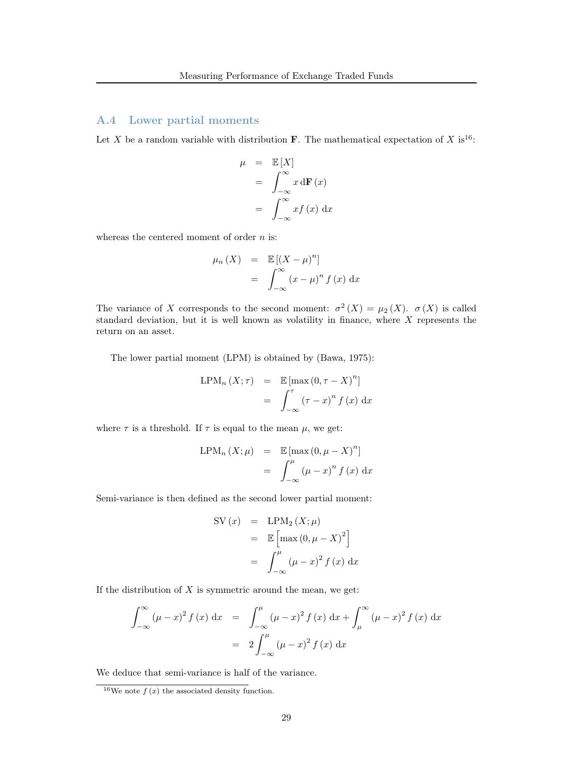## A.4 Lower partial moments

Let *X* be a random variable with distribution **F**. The mathematical expectation of *X* is<sup>16</sup>:

$$
\mu = \mathbb{E}[X]
$$
  
=  $\int_{-\infty}^{\infty} x \, d\mathbf{F}(x)$   
=  $\int_{-\infty}^{\infty} x f(x) \, dx$ 

whereas the centered moment of order *n* is:

$$
\mu_n(X) = \mathbb{E}[(X - \mu)^n]
$$

$$
= \int_{-\infty}^{\infty} (x - \mu)^n f(x) dx
$$

The variance of *X* corresponds to the second moment:  $\sigma^2(X) = \mu_2(X)$ .  $\sigma(X)$  is called standard deviation, but it is well known as volatility in finance, where *X* represents the return on an asset.

The lower partial moment (LPM) is obtained by (Bawa, 1975):

$$
LPM_n(X; \tau) = \mathbb{E} [\max(0, \tau - X)^n]
$$

$$
= \int_{-\infty}^{\tau} (\tau - x)^n f(x) dx
$$

where  $\tau$  is a threshold. If  $\tau$  is equal to the mean  $\mu$ , we get:

$$
LPM_n(X; \mu) = \mathbb{E} [\max(0, \mu - X)^n]
$$

$$
= \int_{-\infty}^{\mu} (\mu - x)^n f(x) dx
$$

Semi-variance is then defined as the second lower partial moment:

$$
SV(x) = LPM_2(X; \mu)
$$
  
=  $\mathbb{E} \left[ \max (0, \mu - X)^2 \right]$   
=  $\int_{-\infty}^{\mu} (\mu - x)^2 f(x) dx$ 

If the distribution of *X* is symmetric around the mean, we get:

$$
\int_{-\infty}^{\infty} (\mu - x)^2 f(x) dx = \int_{-\infty}^{\mu} (\mu - x)^2 f(x) dx + \int_{\mu}^{\infty} (\mu - x)^2 f(x) dx
$$

$$
= 2 \int_{-\infty}^{\mu} (\mu - x)^2 f(x) dx
$$

We deduce that semi-variance is half of the variance.

<sup>&</sup>lt;sup>16</sup>We note  $\overline{f(x)}$  the associated density function.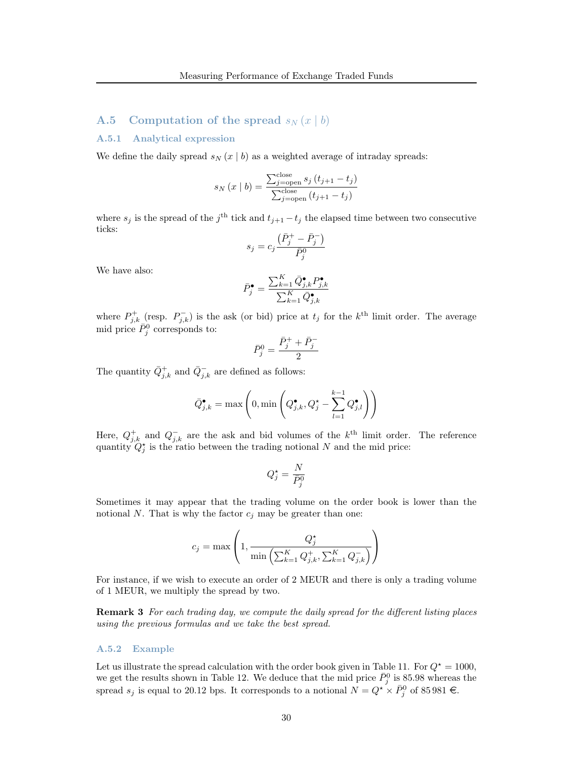## A.5 Computation of the spread  $s_N(x | b)$

#### A.5.1 Analytical expression

We define the daily spread  $s_N(x | b)$  as a weighted average of intraday spreads:

$$
s_N(x | b) = \frac{\sum_{j=\text{open}}^{\text{close}} s_j (t_{j+1} - t_j)}{\sum_{j=\text{open}}^{\text{close}} (t_{j+1} - t_j)}
$$

where  $s_j$  is the spread of the  $j^{\text{th}}$  tick and  $t_{j+1} - t_j$  the elapsed time between two consecutive ticks:

$$
s_j = c_j \frac{\left(\bar{P}_j^+ - \bar{P}_j^-\right)}{\bar{P}_j^0}
$$

We have also:

$$
\bar{P}^{\bullet}_j = \frac{\sum_{k=1}^K \bar{Q}^{\bullet}_{j,k} P^{\bullet}_{j,k}}{\sum_{k=1}^K \bar{Q}^{\bullet}_{j,k}}
$$

where  $P_{j,k}^+$  (resp.  $P_{j,k}^-$ ) is the ask (or bid) price at  $t_j$  for the  $k^{\text{th}}$  limit order. The average mid price  $\bar{P}_j^0$  corresponds to:

$$
\bar{P}_j^0=\frac{\bar{P}_j^++\bar{P}_j^-}{2}
$$

The quantity  $\overline{Q}_{j,k}^{+}$  and  $\overline{Q}_{j,k}^{-}$  are defined as follows:

$$
\bar{Q}_{j,k}^{\bullet} = \max\left(0, \min\left(Q_{j,k}^{\bullet}, Q_j^{\star} - \sum_{l=1}^{k-1} Q_{j,l}^{\bullet}\right)\right)
$$

Here,  $Q_{j,k}^+$  and  $Q_{j,k}^-$  are the ask and bid volumes of the  $k^{\text{th}}$  limit order. The reference quantity  $Q_j^*$  is the ratio between the trading notional *N* and the mid price:

$$
Q_j^\star = \frac{N}{\bar{P}_j^0}
$$

Sometimes it may appear that the trading volume on the order book is lower than the notional *N*. That is why the factor  $c_j$  may be greater than one:

$$
c_j = \max\left(1, \frac{Q_j^\star}{\min\left(\sum_{k=1}^K Q_{j,k}^+, \sum_{k=1}^K Q_{j,k}^-\right)}\right)
$$

For instance, if we wish to execute an order of 2 MEUR and there is only a trading volume of 1 MEUR, we multiply the spread by two.

Remark 3 *For each trading day, we compute the daily spread for the different listing places using the previous formulas and we take the best spread.*

#### A.5.2 Example

Let us illustrate the spread calculation with the order book given in Table 11. For  $Q^* = 1000$ , we get the results shown in Table 12. We deduce that the mid price  $\bar{P}_j^0$  is 85.98 whereas the spread  $s_j$  is equal to 20.12 bps. It corresponds to a notional  $N = Q^* \times \bar{P}_j^0$  of 85 981  $\in$ .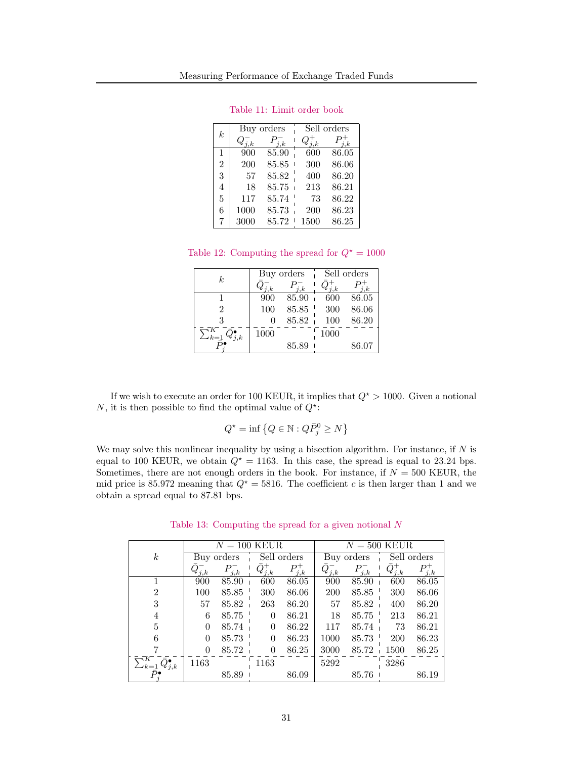| $\boldsymbol{k}$ |      | Buy orders            |      | Sell orders |  |  |
|------------------|------|-----------------------|------|-------------|--|--|
|                  |      | $P_{i,\underline{k}}$ |      | $\cdot k$   |  |  |
| 1                | 900  | 85.90                 | 600  | 86.05       |  |  |
| $\overline{2}$   | 200  | 85.85                 | 300  | 86.06       |  |  |
| 3                | 57   | 85.82                 | 400  | 86.20       |  |  |
| 4                | 18   | 85.75                 | 213  | 86.21       |  |  |
| 5                | 117  | 85.74                 | 73   | 86.22       |  |  |
| 6                | 1000 | 85.73                 | 200  | 86.23       |  |  |
| 7                | 3000 | 85.72                 | 1500 | 86.25       |  |  |

Table 11: Limit order book

Table 12: Computing the spread for  $Q^{\star} = 1000$ 

| k.                                        |           | Buy orders | Sell orders |       |  |
|-------------------------------------------|-----------|------------|-------------|-------|--|
|                                           | $\cdot k$ | i.k        |             | i.k   |  |
|                                           | 900       | 85.90      | 600         | 86.05 |  |
| 2                                         | 100       | 85.85      | 300         | 86.06 |  |
| 3                                         |           | 85.82      | 100         | 86.20 |  |
| $\sum_{k=1}^{K}$ (<br>$Q_{i,k}^{\bullet}$ | 1000      |            | 1000        |       |  |
|                                           |           | 85.89      |             | 86.07 |  |

If we wish to execute an order for 100 KEUR, it implies that  $Q^* > 1000$ . Given a notional *N*, it is then possible to find the optimal value of  $Q^*$ :

$$
Q^* = \inf \left\{ Q \in \mathbb{N} : Q\bar{P}_j^0 \ge N \right\}
$$

We may solve this nonlinear inequality by using a bisection algorithm. For instance, if *N* is equal to 100 KEUR, we obtain  $Q^* = 1163$ . In this case, the spread is equal to 23.24 bps. Sometimes, there are not enough orders in the book. For instance, if  $N = 500$  KEUR, the mid price is 85.972 meaning that  $Q^* = 5816$ . The coefficient *c* is then larger than 1 and we obtain a spread equal to 87*.*81 bps.

|                  | $N = 100$ KEUR |             |                | $N = 500$ KEUR |             |             |             |             |
|------------------|----------------|-------------|----------------|----------------|-------------|-------------|-------------|-------------|
| $\boldsymbol{k}$ |                | Buy orders  |                | Sell orders    |             | Buy orders  |             | Sell orders |
|                  | $Q_{j,k}$      | $P_{i,k}^-$ | $Q_{j,k}^+$    | $P_{j,k}^+$    | $Q_{j,k}^-$ | $P_{i,k}^-$ | $Q_{j,k}^+$ | $P^+_{j,k}$ |
|                  | 900            | 85.90       | 600            | 86.05          | 900         | 85.90       | 600         | 86.05       |
| $\overline{2}$   | 100            | 85.85       | 300            | 86.06          | 200         | 85.85       | 300         | 86.06       |
| 3                | 57             | 85.82       | 263            | 86.20          | 57          | 85.82       | 400         | 86.20       |
| 4                | 6              | 85.75       | $\overline{0}$ | 86.21          | 18          | 85.75       | 213         | 86.21       |
| 5                | 0              | 85.74       | $\overline{0}$ | 86.22          | 117         | 85.74       | 73          | 86.21       |
| 6                | 0              | 85.73       | $\theta$       | 86.23          | 1000        | 85.73       | 200         | 86.23       |
|                  | 0              | 85.72       | 0              | 86.25          | 3000        | 85.72       | 1500        | 86.25       |
|                  | 1163           |             | 1163           |                | 5292        |             | 3286        |             |
|                  |                | 85.89       |                | 86.09          |             | 85.76       |             | 86.19       |

Table 13: Computing the spread for a given notional *N*